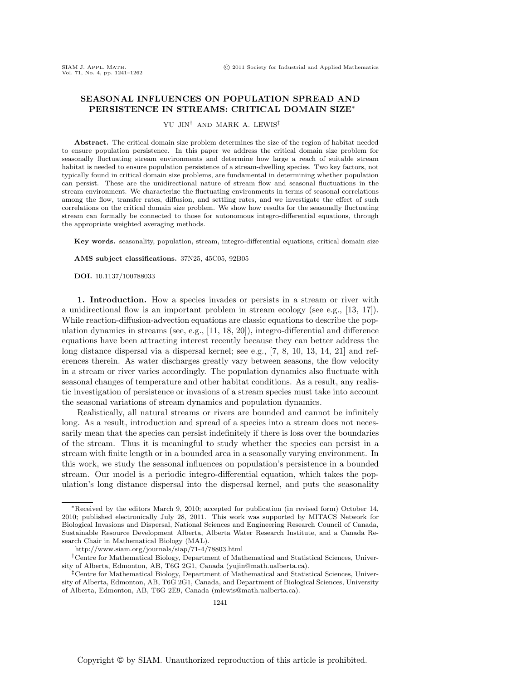## **SEASONAL INFLUENCES ON POPULATION SPREAD AND PERSISTENCE IN STREAMS: CRITICAL DOMAIN SIZE**∗

YU JIN† AND MARK A. LEWIS‡

**Abstract.** The critical domain size problem determines the size of the region of habitat needed to ensure population persistence. In this paper we address the critical domain size problem for seasonally fluctuating stream environments and determine how large a reach of suitable stream habitat is needed to ensure population persistence of a stream-dwelling species. Two key factors, not typically found in critical domain size problems, are fundamental in determining whether population can persist. These are the unidirectional nature of stream flow and seasonal fluctuations in the stream environment. We characterize the fluctuating environments in terms of seasonal correlations among the flow, transfer rates, diffusion, and settling rates, and we investigate the effect of such correlations on the critical domain size problem. We show how results for the seasonally fluctuating stream can formally be connected to those for autonomous integro-differential equations, through the appropriate weighted averaging methods.

**Key words.** seasonality, population, stream, integro-differential equations, critical domain size

**AMS subject classifications.** 37N25, 45C05, 92B05

**DOI.** 10.1137/100788033

**1. Introduction.** How a species invades or persists in a stream or river with a unidirectional flow is an important problem in stream ecology (see e.g., [13, 17]). While reaction-diffusion-advection equations are classic equations to describe the population dynamics in streams (see, e.g., [11, 18, 20]), integro-differential and difference equations have been attracting interest recently because they can better address the long distance dispersal via a dispersal kernel; see e.g., [7, 8, 10, 13, 14, 21] and references therein. As water discharges greatly vary between seasons, the flow velocity in a stream or river varies accordingly. The population dynamics also fluctuate with seasonal changes of temperature and other habitat conditions. As a result, any realistic investigation of persistence or invasions of a stream species must take into account the seasonal variations of stream dynamics and population dynamics.

Realistically, all natural streams or rivers are bounded and cannot be infinitely long. As a result, introduction and spread of a species into a stream does not necessarily mean that the species can persist indefinitely if there is loss over the boundaries of the stream. Thus it is meaningful to study whether the species can persist in a stream with finite length or in a bounded area in a seasonally varying environment. In this work, we study the seasonal influences on population's persistence in a bounded stream. Our model is a periodic integro-differential equation, which takes the population's long distance dispersal into the dispersal kernel, and puts the seasonality

<sup>∗</sup>Received by the editors March 9, 2010; accepted for publication (in revised form) October 14, 2010; published electronically July 28, 2011. This work was supported by MITACS Network for Biological Invasions and Dispersal, National Sciences and Engineering Research Council of Canada, Sustainable Resource Development Alberta, Alberta Water Research Institute, and a Canada Research Chair in Mathematical Biology (MAL).

http://www.siam.org/journals/siap/71-4/78803.html

<sup>†</sup>Centre for Mathematical Biology, Department of Mathematical and Statistical Sciences, University of Alberta, Edmonton, AB, T6G 2G1, Canada (yujin@math.ualberta.ca).

<sup>‡</sup>Centre for Mathematical Biology, Department of Mathematical and Statistical Sciences, University of Alberta, Edmonton, AB, T6G 2G1, Canada, and Department of Biological Sciences, University of Alberta, Edmonton, AB, T6G 2E9, Canada (mlewis@math.ualberta.ca).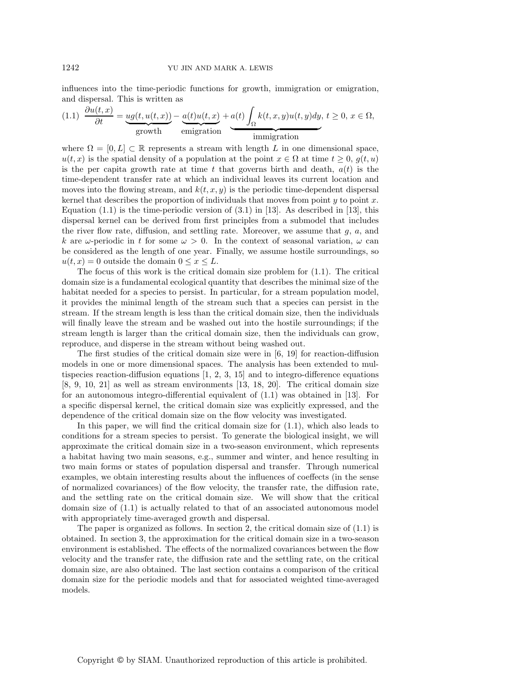influences into the time-periodic functions for growth, immigration or emigration, and dispersal. This is written as

(1.1) 
$$
\frac{\partial u(t,x)}{\partial t} = \underbrace{ug(t,u(t,x))}_{\text{growth}} - \underbrace{a(t)u(t,x)}_{\text{emigration}} + \underbrace{a(t)\int_{\Omega} k(t,x,y)u(t,y)dy}_{\text{immigration}}, t \ge 0, x \in \Omega,
$$

where  $\Omega = [0, L] \subset \mathbb{R}$  represents a stream with length L in one dimensional space,  $u(t, x)$  is the spatial density of a population at the point  $x \in \Omega$  at time  $t \geq 0$ ,  $g(t, u)$ is the per capita growth rate at time t that governs birth and death,  $a(t)$  is the time-dependent transfer rate at which an individual leaves its current location and moves into the flowing stream, and  $k(t, x, y)$  is the periodic time-dependent dispersal kernel that describes the proportion of individuals that moves from point  $y$  to point  $x$ . Equation  $(1.1)$  is the time-periodic version of  $(3.1)$  in [13]. As described in [13], this dispersal kernel can be derived from first principles from a submodel that includes the river flow rate, diffusion, and settling rate. Moreover, we assume that  $g, a$ , and k are  $\omega$ -periodic in t for some  $\omega > 0$ . In the context of seasonal variation,  $\omega$  can be considered as the length of one year. Finally, we assume hostile surroundings, so  $u(t, x) = 0$  outside the domain  $0 \le x \le L$ .

The focus of this work is the critical domain size problem for (1.1). The critical domain size is a fundamental ecological quantity that describes the minimal size of the habitat needed for a species to persist. In particular, for a stream population model, it provides the minimal length of the stream such that a species can persist in the stream. If the stream length is less than the critical domain size, then the individuals will finally leave the stream and be washed out into the hostile surroundings; if the stream length is larger than the critical domain size, then the individuals can grow, reproduce, and disperse in the stream without being washed out.

The first studies of the critical domain size were in [6, 19] for reaction-diffusion models in one or more dimensional spaces. The analysis has been extended to multispecies reaction-diffusion equations  $[1, 2, 3, 15]$  and to integro-difference equations [8, 9, 10, 21] as well as stream environments [13, 18, 20]. The critical domain size for an autonomous integro-differential equivalent of (1.1) was obtained in [13]. For a specific dispersal kernel, the critical domain size was explicitly expressed, and the dependence of the critical domain size on the flow velocity was investigated.

In this paper, we will find the critical domain size for (1.1), which also leads to conditions for a stream species to persist. To generate the biological insight, we will approximate the critical domain size in a two-season environment, which represents a habitat having two main seasons, e.g., summer and winter, and hence resulting in two main forms or states of population dispersal and transfer. Through numerical examples, we obtain interesting results about the influences of coeffects (in the sense of normalized covariances) of the flow velocity, the transfer rate, the diffusion rate, and the settling rate on the critical domain size. We will show that the critical domain size of (1.1) is actually related to that of an associated autonomous model with appropriately time-averaged growth and dispersal.

The paper is organized as follows. In section 2, the critical domain size of (1.1) is obtained. In section 3, the approximation for the critical domain size in a two-season environment is established. The effects of the normalized covariances between the flow velocity and the transfer rate, the diffusion rate and the settling rate, on the critical domain size, are also obtained. The last section contains a comparison of the critical domain size for the periodic models and that for associated weighted time-averaged models.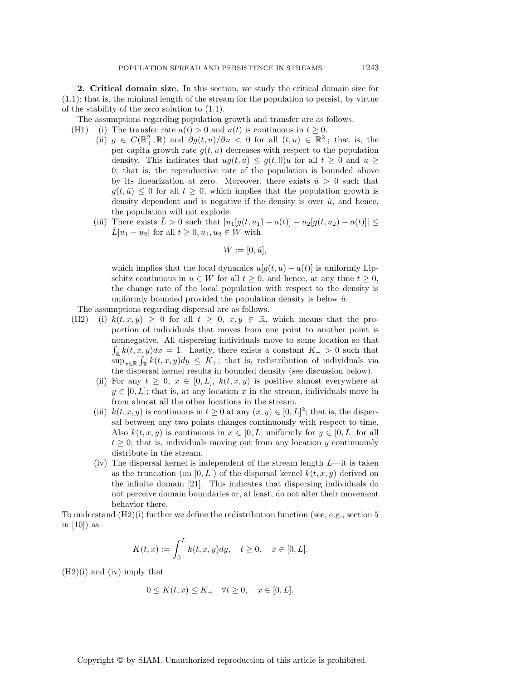**2. Critical domain size.** In this section, we study the critical domain size for (1.1); that is, the minimal length of the stream for the population to persist, by virtue of the stability of the zero solution to (1.1).

The assumptions regarding population growth and transfer are as follows.

- (H1) (i) The transfer rate  $a(t) > 0$  and  $a(t)$  is continuous in  $t \geq 0$ .
	- (ii)  $g \in C(\mathbb{R}^2_+, \mathbb{R})$  and  $\partial g(t, u)/\partial u < 0$  for all  $(t, u) \in \mathbb{R}^2_+$ ; that is, the per capita growth rate  $g(t, u)$  decreases with respect to the population density. This indicates that  $ug(t, u) \leq g(t, 0)u$  for all  $t \geq 0$  and  $u \geq$ 0; that is, the reproductive rate of the population is bounded above by its linearization at zero. Moreover, there exists  $\hat{u} > 0$  such that  $g(t, \hat{u}) \leq 0$  for all  $t \geq 0$ , which implies that the population growth is density dependent and is negative if the density is over  $\hat{u}$ , and hence, the population will not explode.
	- (iii) There exists  $\bar{L} > 0$  such that  $|u_1[g(t, u_1) a(t)] u_2[g(t, u_2) a(t)]| \leq$  $\bar{L}|u_1 - u_2|$  for all  $t \geq 0, u_1, u_2 \in W$  with

$$
W := [0, \hat{u}],
$$

which implies that the local dynamics  $u[g(t, u) - a(t)]$  is uniformly Lipschitz continuous in  $u \in W$  for all  $t \geq 0$ , and hence, at any time  $t \geq 0$ , the change rate of the local population with respect to the density is uniformly bounded provided the population density is below  $\hat{u}$ .

The assumptions regarding dispersal are as follows.

- (H2) (i)  $k(t, x, y) \ge 0$  for all  $t \ge 0, x, y \in \mathbb{R}$ , which means that the proportion of individuals that moves from one point to another point is nonnegative. All dispersing individuals move to some location so that  $\int_{\mathbb{R}} k(t, x, y) dx = 1$ . Lastly, there exists a constant  $K_{+} > 0$  such that  $\sup_{x\in\mathbb{R}} \int_{\mathbb{R}} k(t,x,y)dy \leq K_+$ ; that is, redistribution of individuals via the dispersal kernel results in bounded density (see discussion below).
	- (ii) For any  $t \geq 0$ ,  $x \in [0, L]$ ,  $k(t, x, y)$  is positive almost everywhere at  $y \in [0, L]$ ; that is, at any location x in the stream, individuals move in from almost all the other locations in the stream.
	- (iii)  $k(t, x, y)$  is continuous in  $t \geq 0$  at any  $(x, y) \in [0, L]^2$ ; that is, the dispersal between any two points changes continuously with respect to time. Also  $k(t, x, y)$  is continuous in  $x \in [0, L]$  uniformly for  $y \in [0, L]$  for all  $t \geq 0$ ; that is, individuals moving out from any location y continuously distribute in the stream.
	- (iv) The dispersal kernel is independent of the stream length  $L$ —it is taken as the truncation (on  $[0, L]$ ) of the dispersal kernel  $k(t, x, y)$  derived on the infinite domain [21]. This indicates that dispersing individuals do not perceive domain boundaries or, at least, do not alter their movement behavior there.

To understand  $(H2)(i)$  further we define the redistribution function (see, e.g., section 5 in [10]) as

$$
K(t,x):=\int_0^L k(t,x,y)dy,\quad t\geq 0,\quad x\in[0,L].
$$

 $(H2)(i)$  and  $(iv)$  imply that

$$
0 \le K(t, x) \le K_+ \quad \forall t \ge 0, \quad x \in [0, L].
$$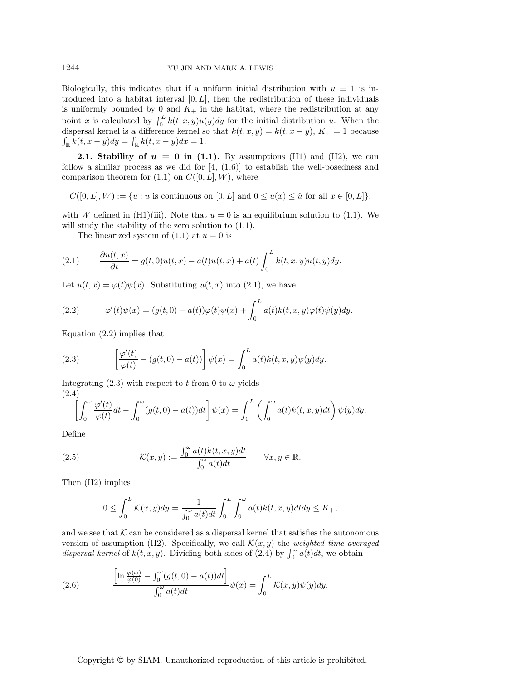Biologically, this indicates that if a uniform initial distribution with  $u \equiv 1$  is introduced into a habitat interval  $[0, L]$ , then the redistribution of these individuals is uniformly bounded by 0 and  $K_{+}$  in the habitat, where the redistribution at any point x is calculated by  $\int_0^L k(t, x, y)u(y)dy$  for the initial distribution u. When the dispersal kernel is a difference kernel so that  $k(t, x, y) = k(t, x - y)$ ,  $K_{+} = 1$  because  $\int_{\mathbb{R}} k(t, x - y) dy = \int_{\mathbb{R}} k(t, x - y) dx = 1.$ 

**2.1. Stability of**  $u = 0$  **in (1.1).** By assumptions (H1) and (H2), we can follow a similar process as we did for  $[4, (1.6)]$  to establish the well-posedness and comparison theorem for  $(1.1)$  on  $C([0, L], W)$ , where

 $C([0, L], W) := \{u : u \text{ is continuous on } [0, L] \text{ and } 0 \le u(x) \le \hat{u} \text{ for all } x \in [0, L] \},$ 

with W defined in (H1)(iii). Note that  $u = 0$  is an equilibrium solution to (1.1). We will study the stability of the zero solution to  $(1.1)$ .

The linearized system of  $(1.1)$  at  $u = 0$  is

(2.1) 
$$
\frac{\partial u(t,x)}{\partial t} = g(t,0)u(t,x) - a(t)u(t,x) + a(t)\int_0^L k(t,x,y)u(t,y)dy.
$$

Let  $u(t, x) = \varphi(t)\psi(x)$ . Substituting  $u(t, x)$  into (2.1), we have

(2.2) 
$$
\varphi'(t)\psi(x) = (g(t,0) - a(t))\varphi(t)\psi(x) + \int_0^L a(t)k(t,x,y)\varphi(t)\psi(y)dy.
$$

Equation (2.2) implies that

(2.3) 
$$
\left[\frac{\varphi'(t)}{\varphi(t)} - (g(t,0) - a(t))\right]\psi(x) = \int_0^L a(t)k(t,x,y)\psi(y)dy.
$$

Integrating (2.3) with respect to t from 0 to  $\omega$  yields (2.4)

$$
\left[\int_0^{\omega} \frac{\varphi'(t)}{\varphi(t)} dt - \int_0^{\omega} (g(t,0) - a(t)) dt\right] \psi(x) = \int_0^L \left(\int_0^{\omega} a(t)k(t,x,y) dt\right) \psi(y) dy.
$$

Define

(2.5) 
$$
\mathcal{K}(x,y) := \frac{\int_0^{\omega} a(t)k(t,x,y)dt}{\int_0^{\omega} a(t)dt} \quad \forall x,y \in \mathbb{R}.
$$

Then (H2) implies

$$
0 \leq \int_0^L \mathcal{K}(x, y) dy = \frac{1}{\int_0^{\omega} a(t) dt} \int_0^L \int_0^{\omega} a(t)k(t, x, y) dt dy \leq K_+,
$$

and we see that  $K$  can be considered as a dispersal kernel that satisfies the autonomous version of assumption (H2). Specifically, we call  $\mathcal{K}(x, y)$  the *weighted time-averaged dispersal kernel* of  $k(t, x, y)$ . Dividing both sides of  $(2.4)$  by  $\int_0^\omega a(t)dt$ , we obtain

(2.6) 
$$
\frac{\left[\ln\frac{\varphi(\omega)}{\varphi(0)}-\int_0^{\omega}(g(t,0)-a(t))dt\right]}{\int_0^{\omega}a(t)dt}\psi(x)=\int_0^L\mathcal{K}(x,y)\psi(y)dy.
$$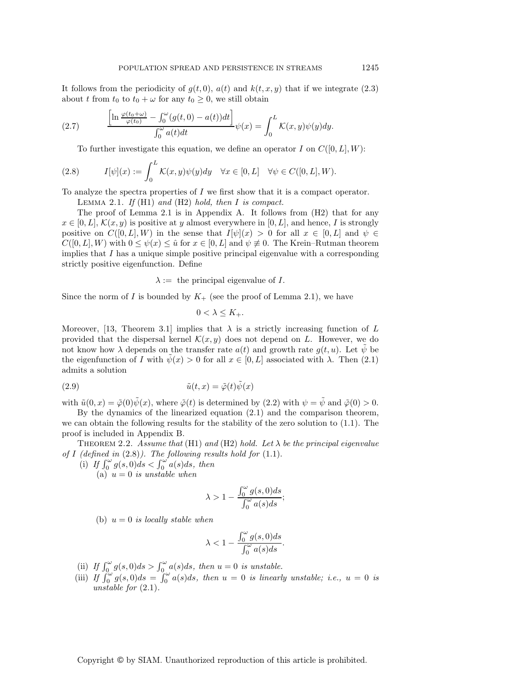It follows from the periodicity of  $g(t, 0)$ ,  $a(t)$  and  $k(t, x, y)$  that if we integrate (2.3) about t from  $t_0$  to  $t_0 + \omega$  for any  $t_0 \geq 0$ , we still obtain

(2.7) 
$$
\frac{\left[\ln\frac{\varphi(t_0+\omega)}{\varphi(t_0)}-\int_0^{\omega}(g(t,0)-a(t))dt\right]}{\int_0^{\omega}a(t)dt}\psi(x)=\int_0^L\mathcal{K}(x,y)\psi(y)dy.
$$

To further investigate this equation, we define an operator I on  $C([0, L], W)$ :

(2.8) 
$$
I[\psi](x) := \int_0^L \mathcal{K}(x, y)\psi(y)dy \quad \forall x \in [0, L] \quad \forall \psi \in C([0, L], W).
$$

To analyze the spectra properties of I we first show that it is a compact operator.

Lemma 2.1. *If* (H1) *and* (H2) *hold, then* I *is compact.*

The proof of Lemma 2.1 is in Appendix A. It follows from (H2) that for any  $x \in [0, L], \mathcal{K}(x, y)$  is positive at y almost everywhere in [0, L], and hence, I is strongly positive on  $C([0, L], W)$  in the sense that  $I[\psi](x) > 0$  for all  $x \in [0, L]$  and  $\psi \in$  $C([0, L], W)$  with  $0 \le \psi(x) \le \hat{u}$  for  $x \in [0, L]$  and  $\psi \neq 0$ . The Krein–Rutman theorem implies that I has a unique simple positive principal eigenvalue with a corresponding strictly positive eigenfunction. Define

 $\lambda :=$  the principal eigenvalue of I.

Since the norm of I is bounded by  $K_{+}$  (see the proof of Lemma 2.1), we have

$$
0 < \lambda \le K_+.
$$

Moreover, [13, Theorem 3.1] implies that  $\lambda$  is a strictly increasing function of L provided that the dispersal kernel  $\mathcal{K}(x, y)$  does not depend on L. However, we do not know how  $\lambda$  depends on the transfer rate  $a(t)$  and growth rate  $g(t, u)$ . Let  $\tilde{\psi}$  be the eigenfunction of I with  $\tilde{\psi}(x) > 0$  for all  $x \in [0, L]$  associated with  $\lambda$ . Then (2.1) admits a solution

(2.9) 
$$
\tilde{u}(t,x) = \tilde{\varphi}(t)\tilde{\psi}(x)
$$

with  $\tilde{u}(0, x) = \tilde{\varphi}(0)\tilde{\psi}(x)$ , where  $\tilde{\varphi}(t)$  is determined by  $(2.2)$  with  $\psi = \tilde{\psi}$  and  $\tilde{\varphi}(0) > 0$ .

By the dynamics of the linearized equation (2.1) and the comparison theorem, we can obtain the following results for the stability of the zero solution to (1.1). The proof is included in Appendix B.

THEOREM 2.2. *Assume that* (H1) *and* (H2) *hold.* Let  $\lambda$  *be the principal eigenvalue of* I *(defined in* (2.8)*). The following results hold for* (1.1).

(i) If  $\int_0^{\omega} g(s,0)ds < \int_0^{\omega} a(s)ds$ , then

(a)  $u = 0$  *is unstable when* 

$$
\lambda > 1 - \frac{\int_0^\omega g(s,0)ds}{\int_0^\omega a(s)ds};
$$

(b) u = 0 *is locally stable when*

$$
\lambda<1-\frac{\int_0^\omega g(s,0)ds}{\int_0^\omega a(s)ds}.
$$

- (ii) If  $\int_0^{\omega} g(s,0)ds > \int_0^{\omega} a(s)ds$ , then  $u = 0$  is unstable.
- (iii) *If*  $\int_0^{\omega} g(s,0)ds = \int_0^{\omega} a(s)ds$ , then  $u = 0$  is linearly unstable; i.e.,  $u = 0$  is *unstable for* (2.1)*.*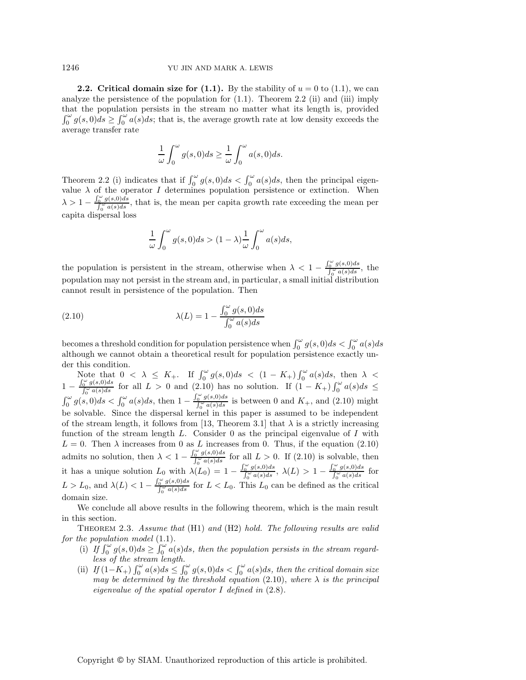**2.2.** Critical domain size for  $(1.1)$ . By the stability of  $u = 0$  to  $(1.1)$ , we can analyze the persistence of the population for  $(1.1)$ . Theorem 2.2 (ii) and (iii) imply that the population persists in the stream no matter what its length is, provided  $\int_0^{\omega} g(s,0)ds \geq \int_0^{\omega} a(s)ds$ ; that is, the average growth rate at low density exceeds the average transfer rate

$$
\frac{1}{\omega}\int_0^\omega g(s,0)ds\geq \frac{1}{\omega}\int_0^\omega a(s,0)ds.
$$

Theorem 2.2 (i) indicates that if  $\int_0^{\omega} g(s,0)ds < \int_0^{\omega} a(s)ds$ , then the principal eigenvalue  $\lambda$  of the operator I determines population persistence or extinction. When  $\lambda > 1 - \frac{\int_0^{\omega} g(s,0)ds}{\int_0^{\omega} a(s)ds}$ , that is, the mean per capita growth rate exceeding the mean per capita dispersal loss

$$
\frac{1}{\omega}\int_0^\omega g(s,0)ds>(1-\lambda)\frac{1}{\omega}\int_0^\omega a(s)ds,
$$

the population is persistent in the stream, otherwise when  $\lambda < 1 - \frac{\int_0^{\omega} g(s,0)ds}{\int_0^{\omega} a(s)ds}$ , the population may not persist in the stream and, in particular, a small initial distribution cannot result in persistence of the population. Then

(2.10) 
$$
\lambda(L) = 1 - \frac{\int_0^{\omega} g(s,0)ds}{\int_0^{\omega} a(s)ds}
$$

becomes a threshold condition for population persistence when  $\int_0^{\omega} g(s,0)ds < \int_0^{\omega} a(s)ds$ although we cannot obtain a theoretical result for population persistence exactly under this condition.

Note that  $0 < \lambda \leq K_+$ . If  $\int_0^{\omega} g(s,0)ds < (1 - K_+) \int_0^{\omega} a(s)ds$ , then  $\lambda <$  $1 - \frac{\int_0^{\infty} g(s,0)ds}{\int_0^{\infty} a(s)ds}$  for all  $L > 0$  and  $(2.10)$  has no solution. If  $(1 - K_+) \int_0^{\infty} a(s)ds \le$  $\int_0^{\omega} g(s,0)ds < \int_0^{\omega} a(s)ds$ , then  $1 - \frac{\int_0^{\omega} g(s,0)ds}{\int_0^{\omega} a(s)ds}$  is between 0 and  $K_+$ , and (2.10) might be solvable. Since the dispersal kernel in this paper is assumed to be independent of the stream length, it follows from [13, Theorem 3.1] that  $\lambda$  is a strictly increasing function of the stream length  $L$ . Consider 0 as the principal eigenvalue of  $I$  with  $L = 0$ . Then  $\lambda$  increases from 0 as L increases from 0. Thus, if the equation (2.10) admits no solution, then  $\lambda < 1 - \frac{\int_0^{\omega} g(s,0)ds}{\int_0^{\omega} a(s)ds}$  for all  $L > 0$ . If  $(2.10)$  is solvable, then it has a unique solution  $L_0$  with  $\lambda(L_0) = 1 - \frac{\int_0^{\omega} g(s,0)ds}{\int_0^{\omega} a(s)ds}$ ,  $\lambda(L) > 1 - \frac{\int_0^{\omega} g(s,0)ds}{\int_0^{\omega} a(s)ds}$  for  $L>L_0$ , and  $\lambda(L) < 1 - \frac{\int_0^{\infty} g(s,0)ds}{\int_0^{\infty} a(s)ds}$  for  $L < L_0$ . This  $L_0$  can be defined as the critical domain size.

We conclude all above results in the following theorem, which is the main result in this section.

Theorem 2.3. *Assume that* (H1) *and* (H2) *hold. The following results are valid for the population model* (1.1).

- (i) If  $\int_0^{\omega} g(s,0)ds \geq \int_0^{\omega} a(s)ds$ , then the population persists in the stream regard*less of the stream length.*
- (ii)  $If (1 K<sub>+</sub>) \int_0^{\omega} a(s) ds \leq \int_0^{\omega} g(s, 0) ds < \int_0^{\omega} a(s) ds$ , then the critical domain size *may be determined by the threshold equation* (2.10), where  $\lambda$  *is the principal eigenvalue of the spatial operator* I *defined in* (2.8).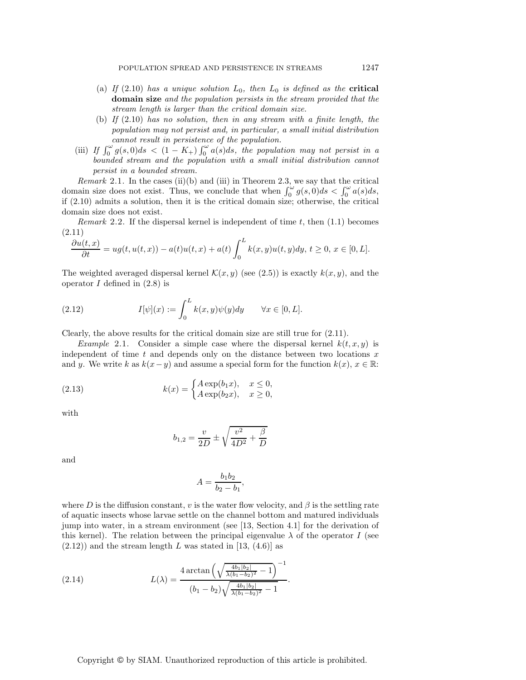- (a) If  $(2.10)$  *has a unique solution*  $L_0$ *, then*  $L_0$  *is defined as the* **critical domain size** *and the population persists in the stream provided that the stream length is larger than the critical domain size.*
- (b) *If* (2.10) *has no solution, then in any stream with a finite length, the population may not persist and, in particular, a small initial distribution cannot result in persistence of the population.*
- (iii) *If*  $\int_0^{\omega} g(s,0)ds < (1 K_+) \int_0^{\omega} a(s)ds$ , the population may not persist in a *bounded stream and the population with a small initial distribution cannot persist in a bounded stream.*

*Remark* 2.1. In the cases (ii)(b) and (iii) in Theorem 2.3, we say that the critical domain size does not exist. Thus, we conclude that when  $\int_0^{\omega} g(s, 0)ds < \int_0^{\omega} a(s)ds$ , if (2.10) admits a solution, then it is the critical domain size; otherwise, the critical domain size does not exist.

*Remark* 2.2. If the dispersal kernel is independent of time  $t$ , then  $(1.1)$  becomes (2.11)

$$
\frac{\partial u(t,x)}{\partial t} = ug(t,u(t,x)) - a(t)u(t,x) + a(t)\int_0^L k(x,y)u(t,y)dy, t \ge 0, x \in [0,L].
$$

The weighted averaged dispersal kernel  $\mathcal{K}(x, y)$  (see (2.5)) is exactly  $k(x, y)$ , and the operator  $I$  defined in  $(2.8)$  is

(2.12) 
$$
I[\psi](x) := \int_0^L k(x, y)\psi(y)dy \quad \forall x \in [0, L].
$$

Clearly, the above results for the critical domain size are still true for (2.11).

*Example* 2.1. Consider a simple case where the dispersal kernel  $k(t, x, y)$  is independent of time  $t$  and depends only on the distance between two locations  $x$ and y. We write k as  $k(x-y)$  and assume a special form for the function  $k(x)$ ,  $x \in \mathbb{R}$ :

(2.13) 
$$
k(x) = \begin{cases} A \exp(b_1 x), & x \le 0, \\ A \exp(b_2 x), & x \ge 0, \end{cases}
$$

with

$$
b_{1,2} = \frac{v}{2D} \pm \sqrt{\frac{v^2}{4D^2} + \frac{\beta}{D}}
$$

and

$$
A = \frac{b_1 b_2}{b_2 - b_1},
$$

where D is the diffusion constant, v is the water flow velocity, and  $\beta$  is the settling rate of aquatic insects whose larvae settle on the channel bottom and matured individuals jump into water, in a stream environment (see [13, Section 4.1] for the derivation of this kernel). The relation between the principal eigenvalue  $\lambda$  of the operator I (see  $(2.12)$  and the stream length L was stated in [13,  $(4.6)$ ] as

(2.14) 
$$
L(\lambda) = \frac{4 \arctan\left(\sqrt{\frac{4b_1|b_2|}{\lambda(b_1-b_2)^2}-1}\right)^{-1}}{(b_1-b_2)\sqrt{\frac{4b_1|b_2|}{\lambda(b_1-b_2)^2}-1}}.
$$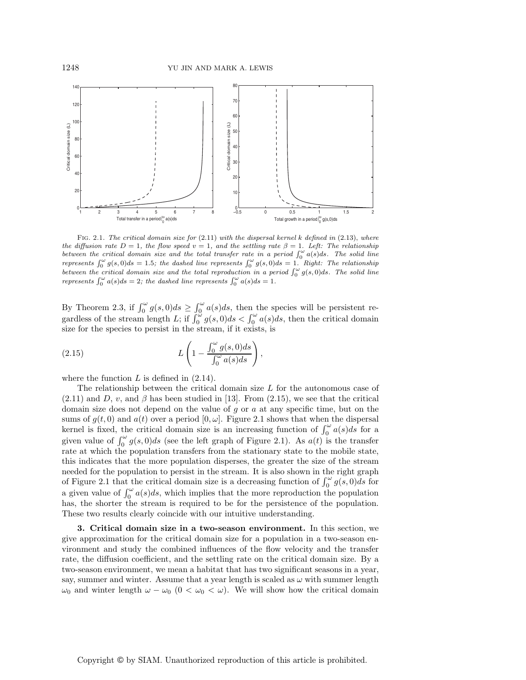

FIG. 2.1. The critical domain size for  $(2.11)$  with the dispersal kernel k defined in  $(2.13)$ , where the diffusion rate  $D = 1$ , the flow speed  $v = 1$ , and the settling rate  $\beta = 1$ . Left: The relationship between the critical domain size and the total transfer rate in a period  $\int_0^{\omega} a(s) ds$ . The solid line represents  $\int_0^{\omega} g(s,0)ds = 1.5$ ; the dashed line represents  $\int_0^{\omega} g(s,0)ds = 1$ . Right: The relationship between the critical domain size and the total reproduction in a period  $\int_0^{\omega} g(s,0)ds$ . The solid line represents  $\int_0^{\omega} a(s)ds = 2$ ; the dashed line represents  $\int_0^{\omega} a(s)ds = 1$ .

By Theorem 2.3, if  $\int_0^{\omega} g(s,0)ds \geq \int_0^{\omega} a(s)ds$ , then the species will be persistent regardless of the stream length L; if  $\int_0^{\omega} g(s,0)ds < \int_0^{\omega} a(s)ds$ , then the critical domain size for the species to persist in the stream, if it exists, is

,

(2.15) 
$$
L\left(1-\frac{\int_0^{\omega}g(s,0)ds}{\int_0^{\omega}a(s)ds}\right)
$$

where the function  $L$  is defined in  $(2.14)$ .

The relationship between the critical domain size  $L$  for the autonomous case of  $(2.11)$  and D, v, and  $\beta$  has been studied in [13]. From (2.15), we see that the critical domain size does not depend on the value of  $q$  or  $a$  at any specific time, but on the sums of  $g(t, 0)$  and  $a(t)$  over a period  $[0, \omega]$ . Figure 2.1 shows that when the dispersal kernel is fixed, the critical domain size is an increasing function of  $\int_0^{\omega} a(s)ds$  for a given value of  $\int_0^{\omega} g(s,0)ds$  (see the left graph of Figure 2.1). As  $a(t)$  is the transfer rate at which the population transfers from the stationary state to the mobile state, this indicates that the more population disperses, the greater the size of the stream needed for the population to persist in the stream. It is also shown in the right graph of Figure 2.1 that the critical domain size is a decreasing function of  $\int_0^{\omega} g(s,0)ds$  for a given value of  $\int_0^{\omega} a(s)ds$ , which implies that the more reproduction the population has, the shorter the stream is required to be for the persistence of the population. These two results clearly coincide with our intuitive understanding.

**3. Critical domain size in a two-season environment.** In this section, we give approximation for the critical domain size for a population in a two-season environment and study the combined influences of the flow velocity and the transfer rate, the diffusion coefficient, and the settling rate on the critical domain size. By a two-season environment, we mean a habitat that has two significant seasons in a year, say, summer and winter. Assume that a year length is scaled as  $\omega$  with summer length  $ω_0$  and winter length  $ω - ω_0$  (0 < ω<sub>0</sub> < ω). We will show how the critical domain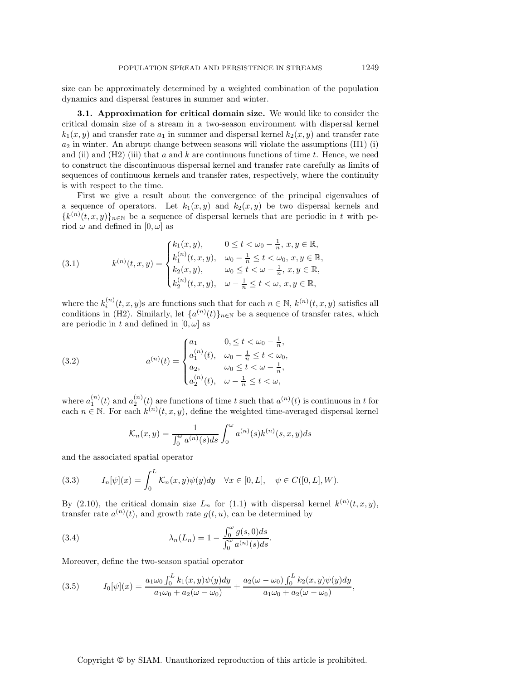size can be approximately determined by a weighted combination of the population dynamics and dispersal features in summer and winter.

**3.1. Approximation for critical domain size.** We would like to consider the critical domain size of a stream in a two-season environment with dispersal kernel  $k_1(x, y)$  and transfer rate  $a_1$  in summer and dispersal kernel  $k_2(x, y)$  and transfer rate  $a_2$  in winter. An abrupt change between seasons will violate the assumptions (H1) (i) and (ii) and (H2) (iii) that a and k are continuous functions of time t. Hence, we need to construct the discontinuous dispersal kernel and transfer rate carefully as limits of sequences of continuous kernels and transfer rates, respectively, where the continuity is with respect to the time.

First we give a result about the convergence of the principal eigenvalues of a sequence of operators. Let  $k_1(x, y)$  and  $k_2(x, y)$  be two dispersal kernels and  ${k^{(n)}(t, x, y)}_{n \in \mathbb{N}}$  be a sequence of dispersal kernels that are periodic in t with period $\omega$  and defined in  $[0,\omega]$  as

(3.1) 
$$
k^{(n)}(t,x,y) = \begin{cases} k_1(x,y), & 0 \le t < \omega_0 - \frac{1}{n}, x, y \in \mathbb{R}, \\ k_1^{(n)}(t,x,y), & \omega_0 - \frac{1}{n} \le t < \omega_0, x, y \in \mathbb{R}, \\ k_2(x,y), & \omega_0 \le t < \omega - \frac{1}{n}, x, y \in \mathbb{R}, \\ k_2^{(n)}(t,x,y), & \omega - \frac{1}{n} \le t < \omega, x, y \in \mathbb{R}, \end{cases}
$$

where the  $k_i^{(n)}(t, x, y)$ s are functions such that for each  $n \in \mathbb{N}$ ,  $k^{(n)}(t, x, y)$  satisfies all conditions in (H2). Similarly, let  $\{a^{(n)}(t)\}_{n\in\mathbb{N}}$  be a sequence of transfer rates, which are periodic in t and defined in  $[0, \omega]$  as

(3.2) 
$$
a^{(n)}(t) = \begin{cases} a_1 & 0, \leq t < \omega_0 - \frac{1}{n}, \\ a_1^{(n)}(t), & \omega_0 - \frac{1}{n} \leq t < \omega_0, \\ a_2, & \omega_0 \leq t < \omega - \frac{1}{n}, \\ a_2^{(n)}(t), & \omega - \frac{1}{n} \leq t < \omega, \end{cases}
$$

where  $a_1^{(n)}(t)$  and  $a_2^{(n)}(t)$  are functions of time t such that  $a^{(n)}(t)$  is continuous in t for each  $n \in \mathbb{N}$ . For each  $k^{(n)}(t, x, y)$ , define the weighted time-averaged dispersal kernel

$$
\mathcal{K}_n(x,y) = \frac{1}{\int_0^{\omega} a^{(n)}(s)ds} \int_0^{\omega} a^{(n)}(s)k^{(n)}(s,x,y)ds
$$

and the associated spatial operator

(3.3) 
$$
I_n[\psi](x) = \int_0^L \mathcal{K}_n(x, y)\psi(y)dy \quad \forall x \in [0, L], \quad \psi \in C([0, L], W).
$$

By (2.10), the critical domain size  $L_n$  for (1.1) with dispersal kernel  $k^{(n)}(t, x, y)$ , transfer rate  $a^{(n)}(t)$ , and growth rate  $g(t, u)$ , can be determined by

(3.4) 
$$
\lambda_n(L_n) = 1 - \frac{\int_0^{\omega} g(s,0)ds}{\int_0^{\omega} a^{(n)}(s)ds}.
$$

Moreover, define the two-season spatial operator

(3.5) 
$$
I_0[\psi](x) = \frac{a_1\omega_0 \int_0^L k_1(x, y)\psi(y)dy}{a_1\omega_0 + a_2(\omega - \omega_0)} + \frac{a_2(\omega - \omega_0) \int_0^L k_2(x, y)\psi(y)dy}{a_1\omega_0 + a_2(\omega - \omega_0)},
$$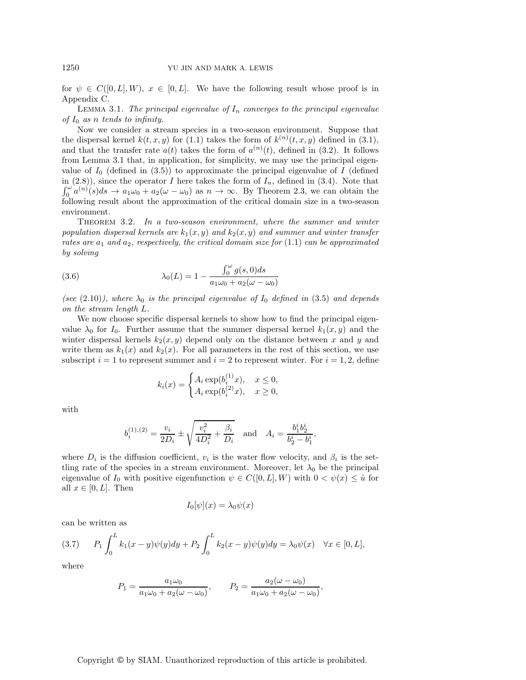for  $\psi \in C([0, L], W)$ ,  $x \in [0, L]$ . We have the following result whose proof is in Appendix C.

LEMMA 3.1. The principal eigenvalue of  $I_n$  converges to the principal eigenvalue *of*  $I_0$  *as n tends to infinity.* 

Now we consider a stream species in a two-season environment. Suppose that the dispersal kernel  $k(t, x, y)$  for (1.1) takes the form of  $k^{(n)}(t, x, y)$  defined in (3.1), and that the transfer rate  $a(t)$  takes the form of  $a^{(n)}(t)$ , defined in (3.2). It follows from Lemma 3.1 that, in application, for simplicity, we may use the principal eigenvalue of  $I_0$  (defined in (3.5)) to approximate the principal eigenvalue of I (defined in  $(2.8)$ , since the operator I here takes the form of  $I_n$ , defined in  $(3.4)$ . Note that  $\int_0^{\omega} a^{(n)}(s)ds \to a_1\omega_0 + a_2(\omega - \omega_0)$  as  $n \to \infty$ . By Theorem 2.3, we can obtain the following result about the approximation of the critical domain size in a two-season environment.

Theorem 3.2. *In a two-season environment, where the summer and winter population dispersal kernels are*  $k_1(x, y)$  *and*  $k_2(x, y)$  *and summer and winter transfer rates are*  $a_1$  *and*  $a_2$ *, respectively, the critical domain size for* (1.1) *can be approximated by solving*

(3.6) 
$$
\lambda_0(L) = 1 - \frac{\int_0^{\omega} g(s,0)ds}{a_1\omega_0 + a_2(\omega - \omega_0)}
$$

(see (2.10)), where  $\lambda_0$  *is the principal eigenvalue of*  $I_0$  *defined in* (3.5) *and depends on the stream length* L*.*

We now choose specific dispersal kernels to show how to find the principal eigenvalue  $\lambda_0$  for  $I_0$ . Further assume that the summer dispersal kernel  $k_1(x, y)$  and the winter dispersal kernels  $k_2(x, y)$  depend only on the distance between x and y and write them as  $k_1(x)$  and  $k_2(x)$ . For all parameters in the rest of this section, we use subscript  $i = 1$  to represent summer and  $i = 2$  to represent winter. For  $i = 1, 2$ , define

$$
k_i(x) = \begin{cases} A_i \exp(b_i^{(1)}x), & x \le 0, \\ A_i \exp(b_i^{(2)}x), & x \ge 0, \end{cases}
$$

with

$$
b_i^{(1),(2)} = \frac{v_i}{2D_i} \pm \sqrt{\frac{v_i^2}{4D_i^2} + \frac{\beta_i}{D_i}}
$$
 and  $A_i = \frac{b_1^i b_2^i}{b_2^i - b_1^i}$ ,

where  $D_i$  is the diffusion coefficient,  $v_i$  is the water flow velocity, and  $\beta_i$  is the settling rate of the species in a stream environment. Moreover, let  $\lambda_0$  be the principal eigenvalue of  $I_0$  with positive eigenfunction  $\psi \in C([0, L], W)$  with  $0 < \psi(x) \leq \hat{u}$  for all  $x \in [0, L]$ . Then

$$
I_0[\psi](x) = \lambda_0 \psi(x)
$$

can be written as

$$
(3.7) \qquad P_1 \int_0^L k_1(x - y) \psi(y) dy + P_2 \int_0^L k_2(x - y) \psi(y) dy = \lambda_0 \psi(x) \quad \forall x \in [0, L],
$$

where

$$
P_1 = \frac{a_1 \omega_0}{a_1 \omega_0 + a_2 (\omega - \omega_0)}, \qquad P_2 = \frac{a_2 (\omega - \omega_0)}{a_1 \omega_0 + a_2 (\omega - \omega_0)},
$$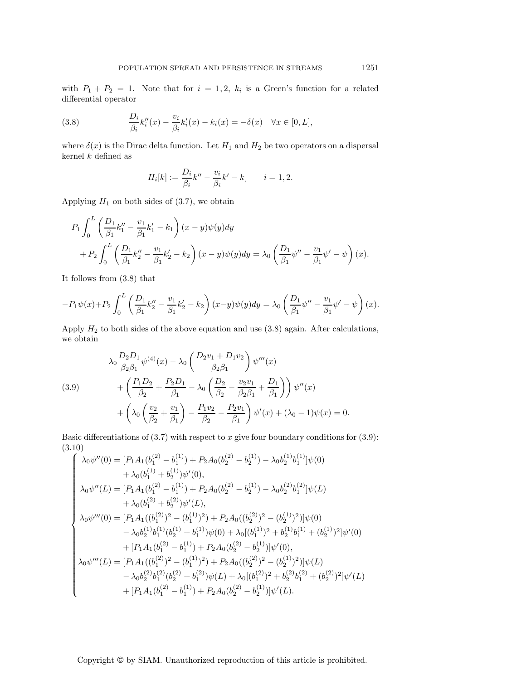with  $P_1 + P_2 = 1$ . Note that for  $i = 1, 2, k_i$  is a Green's function for a related differential operator

(3.8) 
$$
\frac{D_i}{\beta_i} k_i''(x) - \frac{v_i}{\beta_i} k_i'(x) - k_i(x) = -\delta(x) \quad \forall x \in [0, L],
$$

where  $\delta(x)$  is the Dirac delta function. Let  $H_1$  and  $H_2$  be two operators on a dispersal kernel  $k$  defined as

$$
H_i[k] := \frac{D_i}{\beta_i} k'' - \frac{v_i}{\beta_i} k' - k, \qquad i = 1, 2.
$$

Applying  $H_1$  on both sides of  $(3.7)$ , we obtain

$$
P_1 \int_0^L \left( \frac{D_1}{\beta_1} k_1'' - \frac{v_1}{\beta_1} k_1' - k_1 \right) (x - y) \psi(y) dy
$$
  
+ 
$$
P_2 \int_0^L \left( \frac{D_1}{\beta_1} k_2'' - \frac{v_1}{\beta_1} k_2' - k_2 \right) (x - y) \psi(y) dy = \lambda_0 \left( \frac{D_1}{\beta_1} \psi'' - \frac{v_1}{\beta_1} \psi' - \psi \right) (x).
$$

It follows from (3.8) that

$$
-P_1\psi(x) + P_2 \int_0^L \left(\frac{D_1}{\beta_1}k_2'' - \frac{v_1}{\beta_1}k_2' - k_2\right)(x-y)\psi(y)dy = \lambda_0 \left(\frac{D_1}{\beta_1}\psi'' - \frac{v_1}{\beta_1}\psi' - \psi\right)(x).
$$

Apply  $H_2$  to both sides of the above equation and use  $(3.8)$  again. After calculations, we obtain

(3.9)  
\n
$$
\lambda_0 \frac{D_2 D_1}{\beta_2 \beta_1} \psi^{(4)}(x) - \lambda_0 \left( \frac{D_2 v_1 + D_1 v_2}{\beta_2 \beta_1} \right) \psi'''(x)
$$
\n
$$
+ \left( \frac{P_1 D_2}{\beta_2} + \frac{P_2 D_1}{\beta_1} - \lambda_0 \left( \frac{D_2}{\beta_2} - \frac{v_2 v_1}{\beta_2 \beta_1} + \frac{D_1}{\beta_1} \right) \right) \psi''(x)
$$
\n
$$
+ \left( \lambda_0 \left( \frac{v_2}{\beta_2} + \frac{v_1}{\beta_1} \right) - \frac{P_1 v_2}{\beta_2} - \frac{P_2 v_1}{\beta_1} \right) \psi'(x) + (\lambda_0 - 1) \psi(x) = 0.
$$

Basic differentiations of  $(3.7)$  with respect to x give four boundary conditions for  $(3.9)$ : (3.10)

$$
\begin{cases}\n\lambda_0 \psi''(0) = [P_1 A_1 (b_1^{(2)} - b_1^{(1)}) + P_2 A_0 (b_2^{(2)} - b_2^{(1)}) - \lambda_0 b_2^{(1)} b_1^{(1)}] \psi(0) \\
+ \lambda_0 (b_1^{(1)} + b_2^{(1)}) \psi'(0), \\
\lambda_0 \psi''(L) = [P_1 A_1 (b_1^{(2)} - b_1^{(1)}) + P_2 A_0 (b_2^{(2)} - b_2^{(1)}) - \lambda_0 b_2^{(2)} b_1^{(2)}] \psi(L) \\
+ \lambda_0 (b_1^{(2)} + b_2^{(2)}) \psi'(L), \\
\lambda_0 \psi'''(0) = [P_1 A_1 ((b_1^{(2)})^2 - (b_1^{(1)})^2) + P_2 A_0 ((b_2^{(2)})^2 - (b_2^{(1)})^2)] \psi(0) \\
- \lambda_0 b_2^{(1)} b_1^{(1)} (b_2^{(1)} + b_1^{(1)}) \psi(0) + \lambda_0 [(b_1^{(1)})^2 + b_2^{(1)} b_1^{(1)} + (b_2^{(1)})^2] \psi'(0) \\
+ [P_1 A_1 (b_1^{(2)} - b_1^{(1)}) + P_2 A_0 (b_2^{(2)} - b_2^{(1)})] \psi'(0), \\
\lambda_0 \psi'''(L) = [P_1 A_1 ((b_1^{(2)})^2 - (b_1^{(1)})^2) + P_2 A_0 ((b_2^{(2)})^2 - (b_2^{(1)})^2)] \psi(L) \\
- \lambda_0 b_2^{(2)} b_1^{(2)} (b_2^{(2)} + b_1^{(2)}) \psi(L) + \lambda_0 [(b_1^{(2)})^2 + b_2^{(2)} b_1^{(2)} + (b_2^{(2)})^2] \psi'(L) \\
+ [P_1 A_1 (b_1^{(2)} - b_1^{(1)}) + P_2 A_0 (b_2^{(2)} - b_2^{(1)})] \psi'(L).\n\end{cases}
$$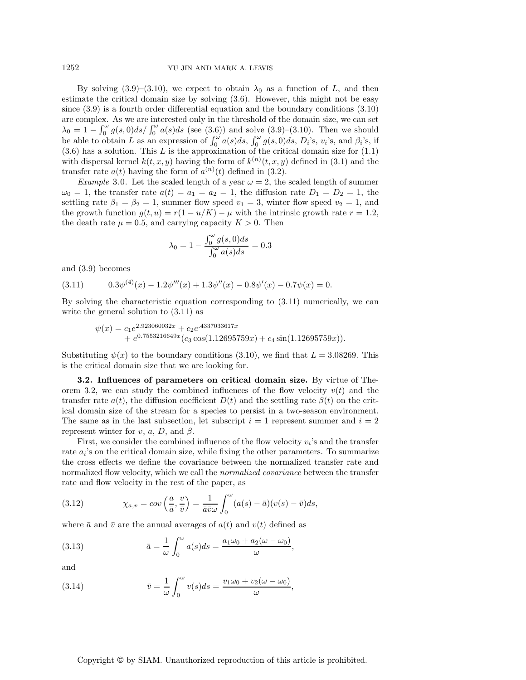By solving  $(3.9)$ – $(3.10)$ , we expect to obtain  $\lambda_0$  as a function of L, and then estimate the critical domain size by solving (3.6). However, this might not be easy since (3.9) is a fourth order differential equation and the boundary conditions (3.10) are complex. As we are interested only in the threshold of the domain size, we can set  $\lambda_0 = 1 - \int_0^{\omega} g(s,0)ds / \int_0^{\omega} a(s)ds$  (see (3.6)) and solve (3.9)–(3.10). Then we should be able to obtain L as an expression of  $\int_0^{\omega} a(s)ds$ ,  $\int_0^{\omega} g(s,0)ds$ ,  $D_i$ 's,  $v_i$ 's, and  $\beta_i$ 's, if  $(3.6)$  has a solution. This L is the approximation of the critical domain size for  $(1.1)$ with dispersal kernel  $k(t, x, y)$  having the form of  $k^{(n)}(t, x, y)$  defined in (3.1) and the transfer rate  $a(t)$  having the form of  $a^{(n)}(t)$  defined in (3.2).

*Example* 3.0. Let the scaled length of a year  $\omega = 2$ , the scaled length of summer  $\omega_0 = 1$ , the transfer rate  $a(t) = a_1 = a_2 = 1$ , the diffusion rate  $D_1 = D_2 = 1$ , the settling rate  $\beta_1 = \beta_2 = 1$ , summer flow speed  $v_1 = 3$ , winter flow speed  $v_2 = 1$ , and the growth function  $g(t, u) = r(1 - u/K) - \mu$  with the intrinsic growth rate  $r = 1.2$ , the death rate  $\mu = 0.5$ , and carrying capacity  $K > 0$ . Then

$$
\lambda_0=1-\frac{\int_0^\omega g(s,0)ds}{\int_0^\omega a(s)ds}=0.3
$$

and (3.9) becomes

$$
(3.11) \t 0.3\psi^{(4)}(x) - 1.2\psi'''(x) + 1.3\psi''(x) - 0.8\psi'(x) - 0.7\psi(x) = 0.
$$

By solving the characteristic equation corresponding to (3.11) numerically, we can write the general solution to (3.11) as

$$
\psi(x) = c_1 e^{2.923060032x} + c_2 e^{.4337033617x} + e^{0.7553216649x} (c_3 \cos(1.12695759x) + c_4 \sin(1.12695759x)).
$$

Substituting  $\psi(x)$  to the boundary conditions (3.10), we find that  $L = 3.08269$ . This is the critical domain size that we are looking for.

**3.2. Influences of parameters on critical domain size.** By virtue of Theorem 3.2, we can study the combined influences of the flow velocity  $v(t)$  and the transfer rate  $a(t)$ , the diffusion coefficient  $D(t)$  and the settling rate  $\beta(t)$  on the critical domain size of the stream for a species to persist in a two-season environment. The same as in the last subsection, let subscript  $i = 1$  represent summer and  $i = 2$ represent winter for v, a, D, and  $\beta$ .

First, we consider the combined influence of the flow velocity  $v_i$ 's and the transfer rate  $a_i$ 's on the critical domain size, while fixing the other parameters. To summarize the cross effects we define the covariance between the normalized transfer rate and normalized flow velocity, which we call the *normalized covariance* between the transfer rate and flow velocity in the rest of the paper, as

(3.12) 
$$
\chi_{a,v} = cov\left(\frac{a}{\bar{a}}, \frac{v}{\bar{v}}\right) = \frac{1}{\bar{a}\bar{v}\omega} \int_0^{\omega} (a(s) - \bar{a})(v(s) - \bar{v})ds,
$$

where  $\bar{a}$  and  $\bar{v}$  are the annual averages of  $a(t)$  and  $v(t)$  defined as

(3.13) 
$$
\bar{a} = \frac{1}{\omega} \int_0^{\omega} a(s) ds = \frac{a_1 \omega_0 + a_2 (\omega - \omega_0)}{\omega},
$$

and

(3.14) 
$$
\overline{v} = \frac{1}{\omega} \int_0^{\omega} v(s) ds = \frac{v_1 \omega_0 + v_2(\omega - \omega_0)}{\omega},
$$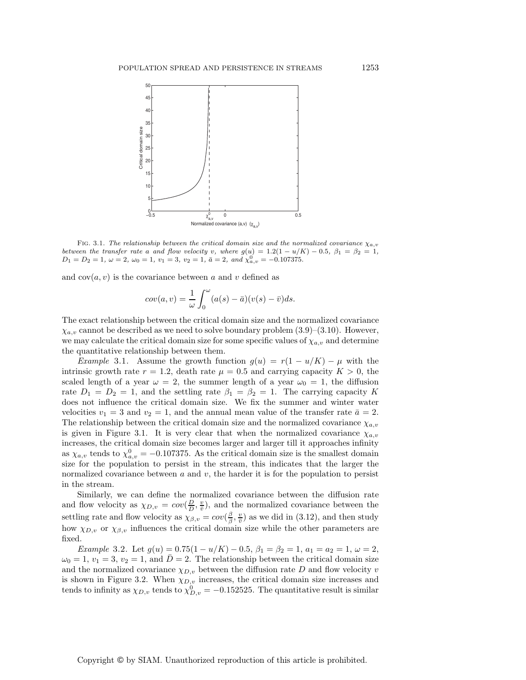

FIG. 3.1. The relationship between the critical domain size and the normalized covariance  $\chi_{a,v}$ between the transfer rate a and flow velocity v, where  $g(u) = 1.2(1 - u/K) - 0.5$ ,  $\beta_1 = \beta_2 = 1$ ,  $D_1 = D_2 = 1$ ,  $\omega = 2$ ,  $\omega_0 = 1$ ,  $v_1 = 3$ ,  $v_2 = 1$ ,  $\bar{a} = 2$ , and  $\chi^0_{a,v} = -0.107375$ .

and  $cov(a, v)$  is the covariance between a and v defined as

$$
cov(a, v) = \frac{1}{\omega} \int_0^{\omega} (a(s) - \bar{a})(v(s) - \bar{v})ds.
$$

The exact relationship between the critical domain size and the normalized covariance  $\chi_{a,v}$  cannot be described as we need to solve boundary problem (3.9)–(3.10). However, we may calculate the critical domain size for some specific values of  $\chi_{a,v}$  and determine the quantitative relationship between them.

*Example* 3.1. Assume the growth function  $g(u) = r(1 - u/K) - \mu$  with the intrinsic growth rate  $r = 1.2$ , death rate  $\mu = 0.5$  and carrying capacity  $K > 0$ , the scaled length of a year  $\omega = 2$ , the summer length of a year  $\omega_0 = 1$ , the diffusion rate  $D_1 = D_2 = 1$ , and the settling rate  $\beta_1 = \beta_2 = 1$ . The carrying capacity K does not influence the critical domain size. We fix the summer and winter water velocities  $v_1 = 3$  and  $v_2 = 1$ , and the annual mean value of the transfer rate  $\bar{a} = 2$ . The relationship between the critical domain size and the normalized covariance  $\chi_{a,v}$ is given in Figure 3.1. It is very clear that when the normalized covariance  $\chi_{a,v}$ increases, the critical domain size becomes larger and larger till it approaches infinity as  $\chi_{a,v}$  tends to  $\chi_{a,v}^0 = -0.107375$ . As the critical domain size is the smallest domain size for the population to persist in the stream, this indicates that the larger the normalized covariance between  $a$  and  $v$ , the harder it is for the population to persist in the stream.

Similarly, we can define the normalized covariance between the diffusion rate and flow velocity as  $\chi_{D,v} = cov(\frac{D}{D}, \frac{v}{v})$ , and the normalized covariance between the settling rate and flow velocity as  $\chi_{\beta,\nu} = cov(\frac{\beta}{\beta}, \frac{v}{\bar{v}})$  as we did in (3.12), and then study how  $\chi_{D,v}$  or  $\chi_{\beta,v}$  influences the critical domain size while the other parameters are fixed.

*Example* 3.2. Let  $g(u) = 0.75(1 - u/K) - 0.5$ ,  $\beta_1 = \beta_2 = 1$ ,  $a_1 = a_2 = 1$ ,  $\omega = 2$ ,  $\omega_0 = 1, v_1 = 3, v_2 = 1, \text{ and } D = 2.$  The relationship between the critical domain size and the normalized covariance  $\chi_{D,v}$  between the diffusion rate D and flow velocity v is shown in Figure 3.2. When  $\chi_{D,v}$  increases, the critical domain size increases and tends to infinity as  $\chi_{D,v}$  tends to  $\chi_{D,v}^0 = -0.152525$ . The quantitative result is similar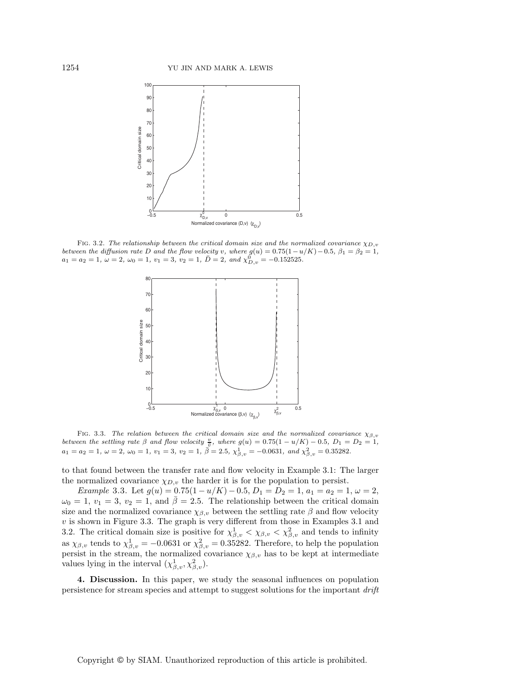

FIG. 3.2. The relationship between the critical domain size and the normalized covariance  $\chi_{D,v}$ between the diffusion rate D and the flow velocity v, where  $g(u)=0.75(1-u/K)-0.5$ ,  $\beta_1=\beta_2=1$ ,  $a_1 = a_2 = 1, \ \omega = 2, \ \omega_0 = 1, \ v_1 = 3, \ v_2 = 1, \ \bar{D} = 2, \ and \ \chi_{D,v}^{0} = -0.152525.$ 



FIG. 3.3. The relation between the critical domain size and the normalized covariance  $\chi_{\beta,v}$ between the settling rate  $\beta$  and flow velocity  $\frac{v}{\bar{v}}$ , where  $g(u) = 0.75(1 - u/K) - 0.5$ ,  $D_1 = D_2 = 1$ ,  $a_1 = a_2 = 1$ ,  $\omega = 2$ ,  $\omega_0 = 1$ ,  $v_1 = 3$ ,  $v_2 = 1$ ,  $\bar{\beta} = 2.5$ ,  $\chi^1_{\beta,v} = -0.0631$ , and  $\chi^2_{\beta,v} = 0.35282$ .

to that found between the transfer rate and flow velocity in Example 3.1: The larger the normalized covariance  $\chi_{D,v}$  the harder it is for the population to persist.

*Example* 3.3. Let  $g(u) = 0.75(1 - u/K) - 0.5$ ,  $D_1 = D_2 = 1$ ,  $a_1 = a_2 = 1$ ,  $\omega = 2$ ,  $\omega_0 = 1, v_1 = 3, v_2 = 1, \text{ and } \bar{\beta} = 2.5.$  The relationship between the critical domain size and the normalized covariance  $\chi_{\beta,v}$  between the settling rate  $\beta$  and flow velocity  $v$  is shown in Figure 3.3. The graph is very different from those in Examples 3.1 and 3.2. The critical domain size is positive for  $\chi^1_{\beta,\nu} < \chi_{\beta,\nu} < \chi^2_{\beta,\nu}$  and tends to infinity as  $\chi_{\beta,v}$  tends to  $\chi_{\beta,v}^1 = -0.0631$  or  $\chi_{\beta,v}^2 = 0.35282$ . Therefore, to help the population persist in the stream, the normalized covariance  $\chi_{\beta,v}$  has to be kept at intermediate values lying in the interval  $(\chi^1_{\beta,v}, \chi^2_{\beta,v}).$ 

**4. Discussion.** In this paper, we study the seasonal influences on population persistence for stream species and attempt to suggest solutions for the important *drift*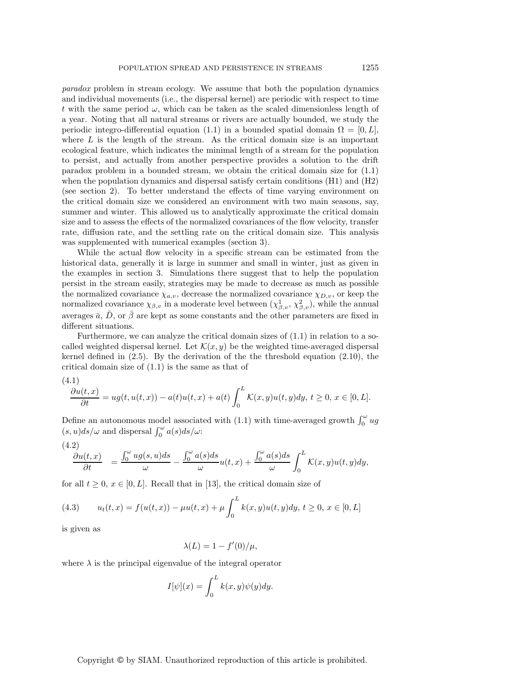*paradox* problem in stream ecology. We assume that both the population dynamics and individual movements (i.e., the dispersal kernel) are periodic with respect to time t with the same period  $\omega$ , which can be taken as the scaled dimensionless length of a year. Noting that all natural streams or rivers are actually bounded, we study the periodic integro-differential equation (1.1) in a bounded spatial domain  $\Omega = [0, L]$ , where  $L$  is the length of the stream. As the critical domain size is an important ecological feature, which indicates the minimal length of a stream for the population to persist, and actually from another perspective provides a solution to the drift paradox problem in a bounded stream, we obtain the critical domain size for (1.1) when the population dynamics and dispersal satisfy certain conditions (H1) and (H2) (see section 2). To better understand the effects of time varying environment on the critical domain size we considered an environment with two main seasons, say, summer and winter. This allowed us to analytically approximate the critical domain size and to assess the effects of the normalized covariances of the flow velocity, transfer rate, diffusion rate, and the settling rate on the critical domain size. This analysis was supplemented with numerical examples (section 3).

While the actual flow velocity in a specific stream can be estimated from the historical data, generally it is large in summer and small in winter, just as given in the examples in section 3. Simulations there suggest that to help the population persist in the stream easily, strategies may be made to decrease as much as possible the normalized covariance  $\chi_{a,v}$ , decrease the normalized covariance  $\chi_{D,v}$ , or keep the normalized covariance  $\chi_{\beta,v}$  in a moderate level between  $(\chi_{\beta,v}^1, \chi_{\beta,v}^2)$ , while the annual averages  $\bar{a}$ ,  $\bar{D}$ , or  $\bar{\beta}$  are kept as some constants and the other parameters are fixed in different situations.

Furthermore, we can analyze the critical domain sizes of  $(1.1)$  in relation to a socalled weighted dispersal kernel. Let  $\mathcal{K}(x, y)$  be the weighted time-averaged dispersal kernel defined in  $(2.5)$ . By the derivation of the the threshold equation  $(2.10)$ , the critical domain size of (1.1) is the same as that of

(4.1)

$$
\frac{\partial u(t,x)}{\partial t} = ug(t, u(t,x)) - a(t)u(t,x) + a(t)\int_0^L \mathcal{K}(x,y)u(t,y)dy, t \ge 0, x \in [0,L].
$$

Define an autonomous model associated with (1.1) with time-averaged growth  $\int_0^{\omega} u g$  $(s, u)ds/\omega$  and dispersal  $\int_0^{\omega} a(s)ds/\omega$ :

$$
(4.2)
$$

$$
\frac{\partial u(t,x)}{\partial t} = \frac{\int_0^{\omega} ug(s,u)ds}{\omega} - \frac{\int_0^{\omega} a(s)ds}{\omega} u(t,x) + \frac{\int_0^{\omega} a(s)ds}{\omega} \int_0^L \mathcal{K}(x,y)u(t,y)dy,
$$

for all  $t \geq 0$ ,  $x \in [0, L]$ . Recall that in [13], the critical domain size of

(4.3) 
$$
u_t(t,x) = f(u(t,x)) - \mu u(t,x) + \mu \int_0^L k(x,y)u(t,y)dy, \ t \ge 0, \ x \in [0,L]
$$

is given as

$$
\lambda(L) = 1 - f'(0)/\mu,
$$

where  $\lambda$  is the principal eigenvalue of the integral operator

$$
I[\psi](x) = \int_0^L k(x, y)\psi(y)dy.
$$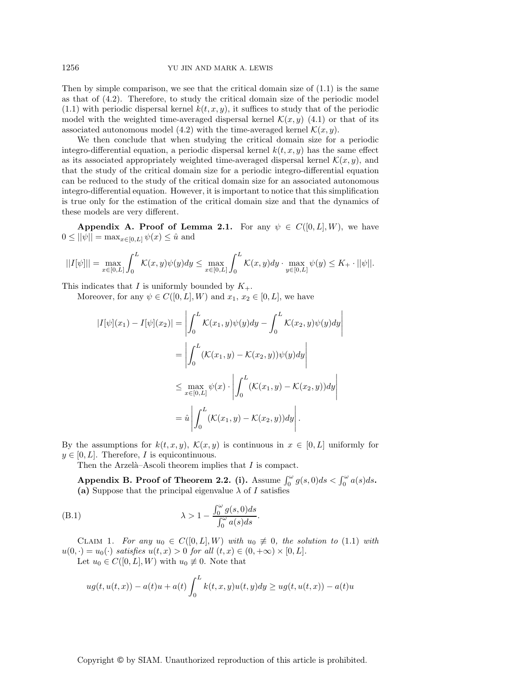Then by simple comparison, we see that the critical domain size of  $(1.1)$  is the same as that of (4.2). Therefore, to study the critical domain size of the periodic model  $(1.1)$  with periodic dispersal kernel  $k(t, x, y)$ , it suffices to study that of the periodic model with the weighted time-averaged dispersal kernel  $\mathcal{K}(x, y)$  (4.1) or that of its associated autonomous model (4.2) with the time-averaged kernel  $\mathcal{K}(x, y)$ .

We then conclude that when studying the critical domain size for a periodic integro-differential equation, a periodic dispersal kernel  $k(t, x, y)$  has the same effect as its associated appropriately weighted time-averaged dispersal kernel  $\mathcal{K}(x, y)$ , and that the study of the critical domain size for a periodic integro-differential equation can be reduced to the study of the critical domain size for an associated autonomous integro-differential equation. However, it is important to notice that this simplification is true only for the estimation of the critical domain size and that the dynamics of these models are very different.

**Appendix A. Proof of Lemma 2.1.** For any  $\psi \in C([0, L], W)$ , we have  $0 \leq ||\psi|| = \max_{x \in [0,L]} \psi(x) \leq \hat{u}$  and

$$
||I[\psi]|| = \max_{x \in [0,L]} \int_0^L \mathcal{K}(x,y)\psi(y)dy \le \max_{x \in [0,L]} \int_0^L \mathcal{K}(x,y)dy \cdot \max_{y \in [0,L]} \psi(y) \le K_+ \cdot ||\psi||.
$$

This indicates that I is uniformly bounded by  $K_{+}$ .

Moreover, for any  $\psi \in C([0, L], W)$  and  $x_1, x_2 \in [0, L]$ , we have

$$
|I[\psi](x_1) - I[\psi](x_2)| = \left| \int_0^L \mathcal{K}(x_1, y)\psi(y)dy - \int_0^L \mathcal{K}(x_2, y)\psi(y)dy \right|
$$
  

$$
= \left| \int_0^L (\mathcal{K}(x_1, y) - \mathcal{K}(x_2, y))\psi(y)dy \right|
$$
  

$$
\leq \max_{x \in [0, L]} \psi(x) \cdot \left| \int_0^L (\mathcal{K}(x_1, y) - \mathcal{K}(x_2, y))dy \right|
$$
  

$$
= \hat{u} \left| \int_0^L (\mathcal{K}(x_1, y) - \mathcal{K}(x_2, y))dy \right|.
$$

By the assumptions for  $k(t, x, y)$ ,  $\mathcal{K}(x, y)$  is continuous in  $x \in [0, L]$  uniformly for  $y \in [0, L]$ . Therefore, I is equicontinuous.

Then the Arzelà–Ascoli theorem implies that  $I$  is compact.

**Appendix B. Proof of Theorem 2.2. (i).** Assume  $\int_0^{\omega} g(s,0)ds < \int_0^{\omega} a(s)ds$ . (a) Suppose that the principal eigenvalue  $\lambda$  of I satisfies

(B.1) 
$$
\lambda > 1 - \frac{\int_0^{\omega} g(s,0)ds}{\int_0^{\omega} a(s)ds}.
$$

CLAIM 1. For any  $u_0 \in C([0,L],W)$  with  $u_0 \neq 0$ , the solution to (1.1) with  $u(0, \cdot) = u_0(\cdot)$  *satisfies*  $u(t, x) > 0$  *for all*  $(t, x) \in (0, +\infty) \times [0, L].$ Let  $u_0 \in C([0, L], W)$  with  $u_0 \not\equiv 0$ . Note that

$$
ug(t, u(t, x)) - a(t)u + a(t) \int_0^L k(t, x, y)u(t, y)dy \ge ug(t, u(t, x)) - a(t)u
$$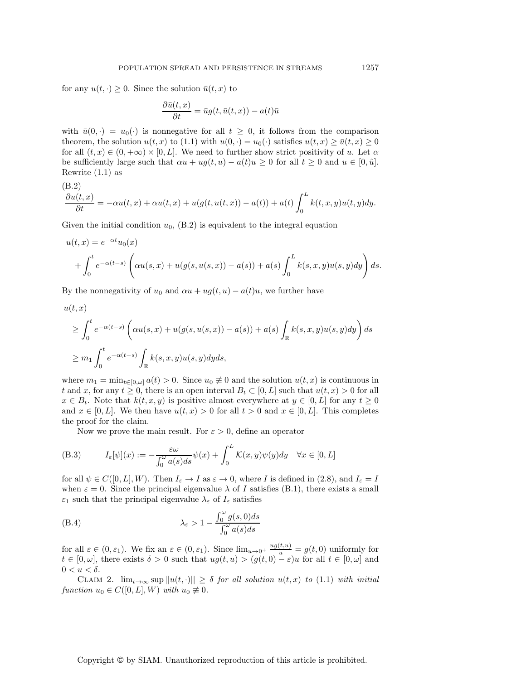for any  $u(t, \cdot) \geq 0$ . Since the solution  $\bar{u}(t, x)$  to

$$
\frac{\partial \bar{u}(t,x)}{\partial t} = \bar{u}g(t,\bar{u}(t,x)) - a(t)\bar{u}
$$

with  $\bar{u}(0, \cdot) = u_0(\cdot)$  is nonnegative for all  $t \geq 0$ , it follows from the comparison theorem, the solution  $u(t, x)$  to (1.1) with  $u(0, \cdot) = u_0(\cdot)$  satisfies  $u(t, x) \ge \bar{u}(t, x) \ge 0$ for all  $(t, x) \in (0, +\infty) \times [0, L]$ . We need to further show strict positivity of u. Let  $\alpha$ be sufficiently large such that  $\alpha u + ug(t, u) - a(t)u \geq 0$  for all  $t \geq 0$  and  $u \in [0, \hat{u}]$ . Rewrite (1.1) as

(B.2)  
\n
$$
\frac{\partial u(t,x)}{\partial t} = -\alpha u(t,x) + \alpha u(t,x) + u(g(t,u(t,x)) - a(t)) + a(t) \int_0^L k(t,x,y)u(t,y)dy.
$$

Given the initial condition  $u_0$ ,  $(B.2)$  is equivalent to the integral equation

$$
u(t,x) = e^{-\alpha t}u_0(x)
$$
  
+ 
$$
\int_0^t e^{-\alpha(t-s)} \left( \alpha u(s,x) + u(g(s,u(s,x)) - a(s)) + a(s) \int_0^L k(s,x,y)u(s,y)dy \right) ds.
$$

By the nonnegativity of  $u_0$  and  $\alpha u + u g(t, u) - a(t) u$ , we further have

$$
u(t, x)
$$
  
\n
$$
\geq \int_0^t e^{-\alpha(t-s)} \left( \alpha u(s, x) + u(g(s, u(s, x)) - a(s)) + a(s) \int_{\mathbb{R}} k(s, x, y) u(s, y) dy \right) ds
$$
  
\n
$$
\geq m_1 \int_0^t e^{-\alpha(t-s)} \int_{\mathbb{R}} k(s, x, y) u(s, y) dy ds,
$$

where  $m_1 = \min_{t \in [0,\omega]} a(t) > 0$ . Since  $u_0 \neq 0$  and the solution  $u(t,x)$  is continuous in t and x, for any  $t \geq 0$ , there is an open interval  $B_t \subset [0, L]$  such that  $u(t, x) > 0$  for all  $x \in B_t$ . Note that  $k(t, x, y)$  is positive almost everywhere at  $y \in [0, L]$  for any  $t \geq 0$ and  $x \in [0, L]$ . We then have  $u(t, x) > 0$  for all  $t > 0$  and  $x \in [0, L]$ . This completes the proof for the claim.

Now we prove the main result. For  $\varepsilon > 0$ , define an operator

(B.3) 
$$
I_{\varepsilon}[\psi](x) := -\frac{\varepsilon \omega}{\int_0^{\infty} a(s)ds} \psi(x) + \int_0^L \mathcal{K}(x, y)\psi(y)dy \quad \forall x \in [0, L]
$$

for all  $\psi \in C([0, L], W)$ . Then  $I_{\varepsilon} \to I$  as  $\varepsilon \to 0$ , where I is defined in (2.8), and  $I_{\varepsilon} = I$ when  $\varepsilon = 0$ . Since the principal eigenvalue  $\lambda$  of I satisfies (B.1), there exists a small  $\varepsilon_1$  such that the principal eigenvalue  $\lambda_{\varepsilon}$  of  $I_{\varepsilon}$  satisfies

(B.4) 
$$
\lambda_{\varepsilon} > 1 - \frac{\int_0^{\omega} g(s,0)ds}{\int_0^{\omega} a(s)ds}
$$

for all  $\varepsilon \in (0, \varepsilon_1)$ . We fix an  $\varepsilon \in (0, \varepsilon_1)$ . Since  $\lim_{u \to 0^+} \frac{ug(t, u)}{u} = g(t, 0)$  uniformly for  $t \in [0, \omega]$ , there exists  $\delta > 0$  such that  $ug(t, u) > (g(t, 0) - \varepsilon)u$  for all  $t \in [0, \omega]$  and  $0 < u < \delta$ .

CLAIM 2.  $\lim_{t\to\infty} \sup ||u(t, \cdot)|| \geq \delta$  for all solution  $u(t, x)$  to (1.1) with initial *function*  $u_0 \in C([0, L], W)$  *with*  $u_0 \not\equiv 0$ *.*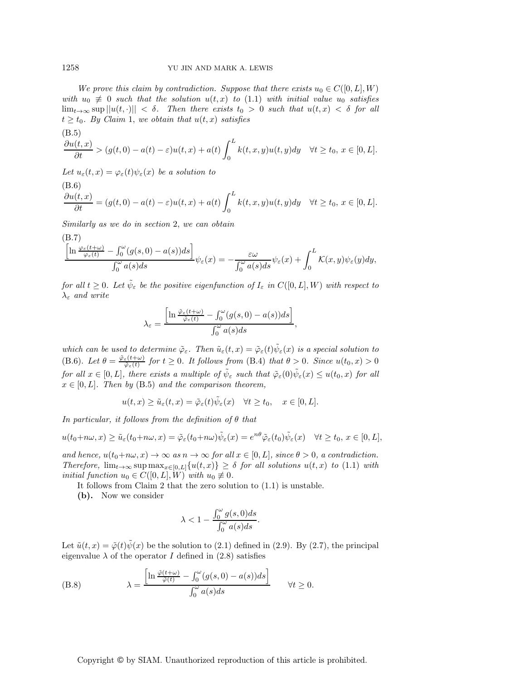*We prove this claim by contradiction. Suppose that there exists*  $u_0 \in C([0, L], W)$ *with*  $u_0 \neq 0$  *such that the solution*  $u(t, x)$  *to* (1.1) *with initial value*  $u_0$  *satisfies*  $\lim_{t\to\infty} \sup ||u(t, \cdot)|| < \delta$ . Then there exists  $t_0 > 0$  such that  $u(t, x) < \delta$  for all  $t \geq t_0$ . By Claim 1, we obtain that  $u(t, x)$  satisfies

(B.5)  
\n
$$
\frac{\partial u(t,x)}{\partial t} > (g(t,0) - a(t) - \varepsilon)u(t,x) + a(t)\int_0^L k(t,x,y)u(t,y)dy \quad \forall t \ge t_0, x \in [0,L].
$$

Let  $u_{\varepsilon}(t,x) = \varphi_{\varepsilon}(t)\psi_{\varepsilon}(x)$  *be a solution to* 

(B.6)  
\n
$$
\frac{\partial u(t,x)}{\partial t} = (g(t,0) - a(t) - \varepsilon)u(t,x) + a(t)\int_0^L k(t,x,y)u(t,y)dy \quad \forall t \ge t_0, x \in [0,L].
$$

*Similarly as we do in section* 2, *we can obtain*

(B.7)  
\n
$$
\underline{\left[\ln \frac{\varphi_{\varepsilon}(t+\omega)}{\varphi_{\varepsilon}(t)} - \int_0^{\omega} (g(s,0) - a(s))ds\right]}_{\int_0^{\omega} a(s)ds} \psi_{\varepsilon}(x) = -\frac{\varepsilon \omega}{\int_0^{\omega} a(s)ds} \psi_{\varepsilon}(x) + \int_0^L \mathcal{K}(x,y) \psi_{\varepsilon}(y)dy,
$$

*for all*  $t \geq 0$ *. Let*  $\tilde{\psi}_{\varepsilon}$  *be the positive eigenfunction of*  $I_{\varepsilon}$  *in*  $C([0, L], W)$  *with respect to* λ<sup>ε</sup> *and write*

$$
\lambda_{\varepsilon} = \frac{\left[\ln \frac{\tilde{\varphi}_{\varepsilon}(t+\omega)}{\tilde{\varphi}_{\varepsilon}(t)} - \int_0^{\omega} (g(s,0) - a(s))ds\right]}{\int_0^{\omega} a(s)ds},
$$

*which can be used to determine*  $\tilde{\varphi}_{\varepsilon}$ . Then  $\tilde{u}_{\varepsilon}(t,x)=\tilde{\varphi}_{\varepsilon}(t)\tilde{\psi}_{\varepsilon}(x)$  *is a special solution to* (B.6). Let  $\theta = \frac{\tilde{\varphi}_{\varepsilon}(t+\omega)}{\tilde{\varphi}_{\varepsilon}(t)}$  for  $t \geq 0$ . It follows from (B.4) that  $\theta > 0$ . Since  $u(t_0, x) > 0$ *for all*  $x \in [0, L]$ *, there exists a multiple of*  $\tilde{\psi}_{\varepsilon}$  *such that*  $\tilde{\varphi}_{\varepsilon}(0)\tilde{\psi}_{\varepsilon}(x) \leq u(t_0, x)$  *for all*  $x \in [0, L]$ *. Then by* (B.5) *and the comparison theorem,* 

$$
u(t,x) \ge \tilde{u}_{\varepsilon}(t,x) = \tilde{\varphi}_{\varepsilon}(t)\tilde{\psi}_{\varepsilon}(x) \quad \forall t \ge t_0, \quad x \in [0,L].
$$

*In particular, it follows from the definition of* θ *that*

$$
u(t_0+n\omega,x)\geq \tilde{u}_{\varepsilon}(t_0+n\omega,x)=\tilde{\varphi}_{\varepsilon}(t_0+n\omega)\tilde{\psi}_{\varepsilon}(x)=e^{n\theta}\tilde{\varphi}_{\varepsilon}(t_0)\tilde{\psi}_{\varepsilon}(x)\quad\forall t\geq t_0,\,x\in[0,L],
$$

*and hence,*  $u(t_0+n\omega, x) \to \infty$  *as*  $n \to \infty$  *for all*  $x \in [0, L]$ *, since*  $\theta > 0$ *, a contradiction. Therefore,*  $\lim_{t\to\infty}$  sup  $\max_{x\in[0,L]}\{u(t,x)\}\geq\delta$  *for all solutions*  $u(t,x)$  *to* (1.1) *with initial function*  $u_0 \in C([0, L], W)$  *with*  $u_0 \not\equiv 0$ *.* 

It follows from Claim 2 that the zero solution to (1.1) is unstable.

**(b).** Now we consider

$$
\lambda<1-\frac{\int_0^\omega g(s,0)ds}{\int_0^\omega a(s)ds}.
$$

Let  $\tilde{u}(t, x) = \tilde{\varphi}(t)\tilde{\psi}(x)$  be the solution to (2.1) defined in (2.9). By (2.7), the principal eigenvalue  $\lambda$  of the operator I defined in (2.8) satisfies

(B.8) 
$$
\lambda = \frac{\left[\ln \frac{\tilde{\varphi}(t+\omega)}{\tilde{\varphi}(t)} - \int_0^{\omega} (g(s,0) - a(s))ds\right]}{\int_0^{\omega} a(s)ds} \quad \forall t \ge 0.
$$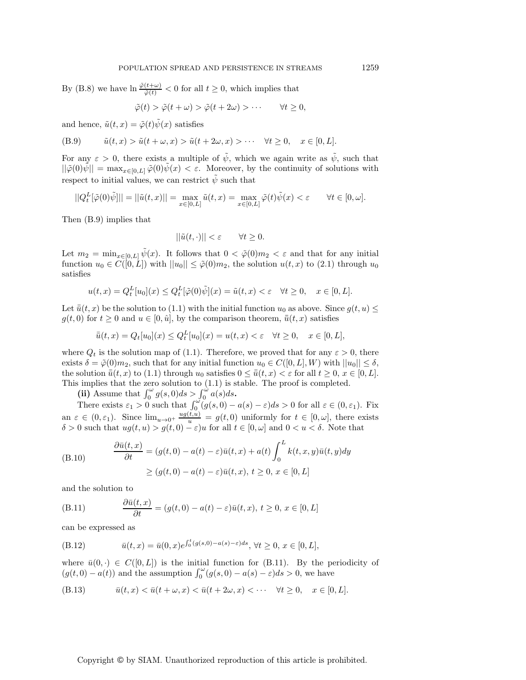By (B.8) we have  $\ln \frac{\tilde{\varphi}(t+\omega)}{\tilde{\varphi}(t)} < 0$  for all  $t \geq 0$ , which implies that

$$
\tilde{\varphi}(t) > \tilde{\varphi}(t + \omega) > \tilde{\varphi}(t + 2\omega) > \cdots \qquad \forall t \ge 0,
$$

and hence,  $\tilde{u}(t, x) = \tilde{\varphi}(t)\tilde{\psi}(x)$  satisfies

(B.9) 
$$
\tilde{u}(t,x) > \tilde{u}(t+\omega,x) > \tilde{u}(t+2\omega,x) > \cdots \quad \forall t \ge 0, \quad x \in [0,L].
$$

For any  $\varepsilon > 0$ , there exists a multiple of  $\tilde{\psi}$ , which we again write as  $\tilde{\psi}$ , such that  $||\tilde{\varphi}(0)\psi|| = \max_{x \in [0,L]} \tilde{\varphi}(0)\psi(x) < \varepsilon$ . Moreover, by the continuity of solutions with respect to initial values, we can restrict  $\tilde{\psi}$  such that

$$
||Q_t^L[\tilde{\varphi}(0)\tilde{\psi}]|| = ||\tilde{u}(t,x)|| = \max_{x \in [0,L]} \tilde{u}(t,x) = \max_{x \in [0,L]} \tilde{\varphi}(t)\tilde{\psi}(x) < \varepsilon \qquad \forall t \in [0,\omega].
$$

Then (B.9) implies that

$$
||\tilde{u}(t,\cdot)|| < \varepsilon \qquad \forall t \ge 0.
$$

Let  $m_2 = \min_{x \in [0,L]} \tilde{\psi}(x)$ . It follows that  $0 < \tilde{\varphi}(0)m_2 < \varepsilon$  and that for any initial function  $u_0 \in C([0, L])$  with  $||u_0|| \leq \tilde{\varphi}(0)m_2$ , the solution  $u(t, x)$  to (2.1) through  $u_0$ satisfies

$$
u(t,x) = Q_t^L[u_0](x) \le Q_t^L[\tilde{\varphi}(0)\tilde{\psi}](x) = \tilde{u}(t,x) < \varepsilon \quad \forall t \ge 0, \quad x \in [0,L].
$$

Let  $\bar{u}(t, x)$  be the solution to (1.1) with the initial function  $u_0$  as above. Since  $g(t, u) \leq$  $g(t, 0)$  for  $t \geq 0$  and  $u \in [0, \hat{u}]$ , by the comparison theorem,  $\bar{u}(t, x)$  satisfies

$$
\bar{u}(t,x) = Q_t[u_0](x) \le Q_t^L[u_0](x) = u(t,x) < \varepsilon \quad \forall t \ge 0, \quad x \in [0,L],
$$

where  $Q_t$  is the solution map of (1.1). Therefore, we proved that for any  $\varepsilon > 0$ , there exists  $\delta = \tilde{\varphi}(0)m_2$ , such that for any initial function  $u_0 \in C([0, L], W)$  with  $||u_0|| \leq \delta$ , the solution  $\bar{u}(t, x)$  to (1.1) through  $u_0$  satisfies  $0 \leq \bar{u}(t, x) < \varepsilon$  for all  $t \geq 0, x \in [0, L]$ . This implies that the zero solution to (1.1) is stable. The proof is completed.

(ii) Assume that  $\int_0^\omega g(s,0)ds > \int_0^\omega a(s)ds$ .

There exists  $\varepsilon_1 > 0$  such that  $\int_0^{\omega} (g(s, 0) - a(s) - \varepsilon) ds > 0$  for all  $\varepsilon \in (0, \varepsilon_1)$ . Fix an  $\varepsilon \in (0, \varepsilon_1)$ . Since  $\lim_{u \to 0^+} \frac{ug(t, u)}{u} = g(t, 0)$  uniformly for  $t \in [0, \omega]$ , there exists  $\delta > 0$  such that  $ug(t, u) > g(t, 0) - \varepsilon)u$  for all  $t \in [0, \omega]$  and  $0 < u < \delta$ . Note that

(B.10) 
$$
\frac{\partial \bar{u}(t,x)}{\partial t} = (g(t,0) - a(t) - \varepsilon)\bar{u}(t,x) + a(t) \int_0^L k(t,x,y)\bar{u}(t,y)dy
$$

$$
\ge (g(t,0) - a(t) - \varepsilon)\bar{u}(t,x), t \ge 0, x \in [0,L]
$$

and the solution to

(B.11) 
$$
\frac{\partial \bar{u}(t,x)}{\partial t} = (g(t,0) - a(t) - \varepsilon)\bar{u}(t,x), t \ge 0, x \in [0,L]
$$

can be expressed as

(B.12) 
$$
\bar{u}(t,x) = \bar{u}(0,x)e^{\int_0^t (g(s,0) - a(s) - \varepsilon)ds}, \forall t \ge 0, x \in [0,L],
$$

where  $\bar{u}(0, \cdot) \in C([0, L])$  is the initial function for (B.11). By the periodicity of  $(g(t, 0) - a(t))$  and the assumption  $\int_0^{\omega} (g(s, 0) - a(s) - \varepsilon) ds > 0$ , we have

(B.13) 
$$
\bar{u}(t,x) < \bar{u}(t+\omega,x) < \bar{u}(t+2\omega,x) < \cdots \quad \forall t \ge 0, \quad x \in [0,L].
$$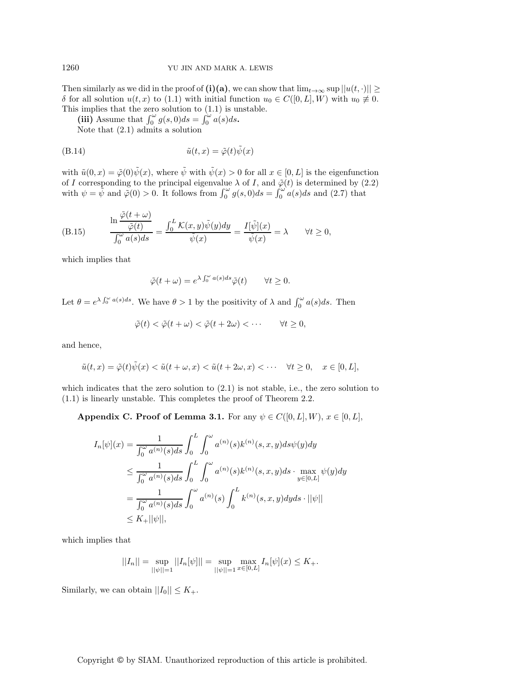Then similarly as we did in the proof of  $(i)(a)$ , we can show that  $\lim_{t\to\infty}$  sup  $||u(t, \cdot)|| \ge$ δ for all solution  $u(t, x)$  to (1.1) with initial function  $u_0 \in C([0, L], W)$  with  $u_0 \neq 0$ . This implies that the zero solution to (1.1) is unstable.

(iii) Assume that  $\int_0^\omega g(s,0)ds = \int_0^\omega a(s)ds$ .

Note that (2.1) admits a solution

(B.14) 
$$
\tilde{u}(t,x) = \tilde{\varphi}(t)\tilde{\psi}(x)
$$

with  $\tilde{u}(0, x) = \tilde{\varphi}(0)\tilde{\psi}(x)$ , where  $\tilde{\psi}$  with  $\tilde{\psi}(x) > 0$  for all  $x \in [0, L]$  is the eigenfunction of I corresponding to the principal eigenvalue  $\lambda$  of I, and  $\tilde{\varphi}(t)$  is determined by (2.2) with  $\psi = \tilde{\psi}$  and  $\tilde{\varphi}(0) > 0$ . It follows from  $\int_0^{\omega} g(s,0)ds = \int_0^{\omega} a(s)ds$  and (2.7) that

(B.15) 
$$
\frac{\ln \frac{\tilde{\varphi}(t+\omega)}{\tilde{\varphi}(t)}}{\int_0^{\omega} a(s)ds} = \frac{\int_0^L \mathcal{K}(x,y)\tilde{\psi}(y)dy}{\tilde{\psi}(x)} = \frac{I[\tilde{\psi}](x)}{\tilde{\psi}(x)} = \lambda \qquad \forall t \ge 0,
$$

which implies that

$$
\tilde{\varphi}(t+\omega) = e^{\lambda \int_0^{\omega} a(s)ds} \tilde{\varphi}(t) \qquad \forall t \ge 0.
$$

Let  $\theta = e^{\lambda \int_0^{\omega} a(s)ds}$ . We have  $\theta > 1$  by the positivity of  $\lambda$  and  $\int_0^{\omega} a(s)ds$ . Then

$$
\tilde{\varphi}(t) < \tilde{\varphi}(t + \omega) < \tilde{\varphi}(t + 2\omega) < \cdots \qquad \forall t \ge 0,
$$

and hence,

$$
\tilde{u}(t,x)=\tilde{\varphi}(t)\tilde{\psi}(x)<\tilde{u}(t+\omega,x)<\tilde{u}(t+2\omega,x)<\cdots\quad\forall t\geq0,\quad x\in[0,L],
$$

which indicates that the zero solution to (2.1) is not stable, i.e., the zero solution to (1.1) is linearly unstable. This completes the proof of Theorem 2.2.

**Appendix C. Proof of Lemma 3.1.** For any  $\psi \in C([0, L], W)$ ,  $x \in [0, L]$ ,

$$
I_n[\psi](x) = \frac{1}{\int_0^{\omega} a^{(n)}(s)ds} \int_0^L \int_0^{\omega} a^{(n)}(s)k^{(n)}(s,x,y)ds\psi(y)dy
$$
  
\n
$$
\leq \frac{1}{\int_0^{\omega} a^{(n)}(s)ds} \int_0^L \int_0^{\omega} a^{(n)}(s)k^{(n)}(s,x,y)ds \cdot \max_{y \in [0,L]} \psi(y)dy
$$
  
\n
$$
= \frac{1}{\int_0^{\omega} a^{(n)}(s)ds} \int_0^{\omega} a^{(n)}(s) \int_0^L k^{(n)}(s,x,y)dyds \cdot ||\psi||
$$
  
\n
$$
\leq K_+ ||\psi||,
$$

which implies that

$$
||I_n|| = \sup_{||\psi||=1} ||I_n[\psi]|| = \sup_{||\psi||=1} \max_{x \in [0,L]} I_n[\psi](x) \le K_+.
$$

Similarly, we can obtain  $||I_0|| \leq K_+$ .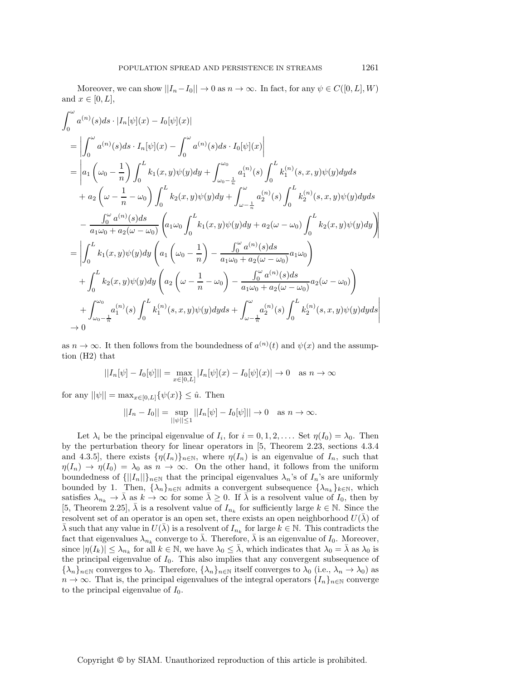Moreover, we can show  $||I_n-I_0|| \to 0$  as  $n \to \infty$ . In fact, for any  $\psi \in C([0, L], W)$ and  $x \in [0, L]$ ,

$$
\begin{split}\n&\int_{0}^{\omega} a^{(n)}(s)ds \cdot |I_{n}[\psi](x) - I_{0}[\psi](x)| \\
&= \left| \int_{0}^{\omega} a^{(n)}(s)ds \cdot I_{n}[\psi](x) - \int_{0}^{\omega} a^{(n)}(s)ds \cdot I_{0}[\psi](x) \right| \\
&= \left| a_{1} \left( \omega_{0} - \frac{1}{n} \right) \int_{0}^{L} k_{1}(x, y)\psi(y)dy + \int_{\omega_{0} - \frac{1}{n}}^{\omega_{0}} a_{1}^{(n)}(s) \int_{0}^{L} k_{1}^{(n)}(s, x, y)\psi(y)dyds \right. \\
&+ a_{2} \left( \omega - \frac{1}{n} - \omega_{0} \right) \int_{0}^{L} k_{2}(x, y)\psi(y)dy + \int_{\omega - \frac{1}{n}}^{\omega} a_{2}^{(n)}(s) \int_{0}^{L} k_{2}^{(n)}(s, x, y)\psi(y)dyds \\
&- \frac{\int_{0}^{\omega} a^{(n)}(s)ds}{a_{1}\omega_{0} + a_{2}(\omega - \omega_{0})} \left( a_{1}\omega_{0} \int_{0}^{L} k_{1}(x, y)\psi(y)dy + a_{2}(\omega - \omega_{0}) \int_{0}^{L} k_{2}(x, y)\psi(y)dy \right) \right| \\
&= \left| \int_{0}^{L} k_{1}(x, y)\psi(y)dy \left( a_{1} \left( \omega_{0} - \frac{1}{n} \right) - \frac{\int_{0}^{\omega} a^{(n)}(s)ds}{a_{1}\omega_{0} + a_{2}(\omega - \omega_{0})} a_{1}\omega_{0} \right) \right. \\
&+ \int_{0}^{L} k_{2}(x, y)\psi(y)dy \left( a_{2} \left( \omega - \frac{1}{n} - \omega_{0} \right) - \frac{\int_{0}^{\omega} a^{(n)}(s)ds}{a_{1}\omega_{0} + a_{2}(\omega - \omega_{0})} a_{2}(\omega - \omega_{0}) \right) \\
&+ \int_{\omega_{0} - \frac{1}{n}}^{\omega_{0}} a_{1}^{(n)}(s) \int_{0}^{L} k_{1}^{(n)}(s, x, y)\psi(y)dyds + \int_{\omega - \frac{1}{n}}^{\omega} a_{2}^{(
$$

as  $n \to \infty$ . It then follows from the boundedness of  $a^{(n)}(t)$  and  $\psi(x)$  and the assumption (H2) that

$$
||I_n[\psi] - I_0[\psi]|| = \max_{x \in [0, L]} |I_n[\psi](x) - I_0[\psi](x)| \to 0 \quad \text{as } n \to \infty
$$

for any  $||\psi|| = \max_{x \in [0, L]} {\psi(x)} \leq \hat{u}$ . Then

$$
||I_n - I_0|| = \sup_{||\psi|| \le 1} ||I_n[\psi] - I_0[\psi]|| \to 0 \text{ as } n \to \infty.
$$

Let  $\lambda_i$  be the principal eigenvalue of  $I_i$ , for  $i = 0, 1, 2, \ldots$ . Set  $\eta(I_0) = \lambda_0$ . Then by the perturbation theory for linear operators in [5, Theorem 2.23, sections 4.3.4 and 4.3.5], there exists  $\{\eta(I_n)\}_{n\in\mathbb{N}}$ , where  $\eta(I_n)$  is an eigenvalue of  $I_n$ , such that  $\eta(I_n) \to \eta(I_0) = \lambda_0$  as  $n \to \infty$ . On the other hand, it follows from the uniform boundedness of  $\{||I_n||\}_{n\in\mathbb{N}}$  that the principal eigenvalues  $\lambda_n$ 's of  $I_n$ 's are uniformly bounded by 1. Then,  $\{\lambda_n\}_{n\in\mathbb{N}}$  admits a convergent subsequence  $\{\lambda_{n_k}\}_{k\in\mathbb{N}}$ , which satisfies  $\lambda_{n_k} \to \overline{\lambda}$  as  $k \to \infty$  for some  $\overline{\lambda} \geq 0$ . If  $\overline{\lambda}$  is a resolvent value of  $I_0$ , then by [5, Theorem 2.25],  $\overline{\lambda}$  is a resolvent value of  $I_{n_k}$  for sufficiently large  $k \in \mathbb{N}$ . Since the resolvent set of an operator is an open set, there exists an open neighborhood  $U(\lambda)$  of  $\lambda$  such that any value in  $U(\overline{\lambda})$  is a resolvent of  $I_{n_k}$  for large  $k \in \mathbb{N}$ . This contradicts the fact that eigenvalues  $\lambda_{n_k}$  converge to  $\overline{\lambda}$ . Therefore,  $\overline{\lambda}$  is an eigenvalue of  $I_0$ . Moreover, since  $|\eta(I_k)| \leq \lambda_{n_k}$  for all  $k \in \mathbb{N}$ , we have  $\lambda_0 \leq \overline{\lambda}$ , which indicates that  $\lambda_0 = \overline{\lambda}$  as  $\lambda_0$  is the principal eigenvalue of  $I_0$ . This also implies that any convergent subsequence of  ${\{\lambda_n\}}_{n\in\mathbb{N}}$  converges to  $\lambda_0$ . Therefore,  ${\{\lambda_n\}}_{n\in\mathbb{N}}$  itself converges to  $\lambda_0$  (i.e.,  $\lambda_n \to \lambda_0$ ) as  $n \to \infty$ . That is, the principal eigenvalues of the integral operators  $\{I_n\}_{n\in\mathbb{N}}$  converge to the principal eigenvalue of  $I_0$ .